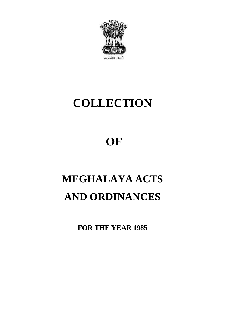

# **COLLECTION**

# **OF**

# **MEGHALAYA ACTS OF<br>MEGHALAYA ACTS<br>AND ORDINANCES** AND ORDINANCES<br>FOR THE YEAR 1985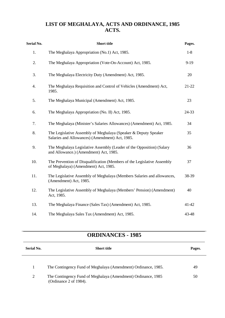# **LIST OF MEGHALAYA, ACTS AND ORDINANCE, 1985 ACTS.**

| <b>Serial No.</b> | <b>Short title</b>                                                                                                 | Pages. |  |
|-------------------|--------------------------------------------------------------------------------------------------------------------|--------|--|
| 1.                | The Meghalaya Appropriation (No.1) Act, 1985.                                                                      | $1-8$  |  |
| 2.                | The Meghalaya Appropriation (Vote-On-Account) Act, 1985.                                                           | $9-19$ |  |
| 3.                | The Meghalaya Electricity Duty (Amendment) Act, 1985.                                                              | 20     |  |
| 4.                | The Meghalaya Requisition and Control of Vehicles (Amendment) Act,<br>1985.                                        | 21-22  |  |
| 5.                | The Meghalaya Municipal (Amendment) Act, 1985.                                                                     | 23     |  |
| 6.                | The Meghalaya Appropriation (No. II) Act, 1985.                                                                    | 24-33  |  |
| 7.                | The Meghalaya (Minister's Salaries Allowances) (Amendment) Act, 1985.                                              | 34     |  |
| 8.                | The Legislative Assembly of Meghalaya (Speaker & Deputy Speaker<br>Salaries and Allowances) (Amendment) Act, 1985. | 35     |  |
| 9.                | The Meghalaya Legislative Assembly (Leader of the Opposition) (Salary<br>and Allowance.) (Amendment) Act, 1985.    | 36     |  |
| 10.               | The Prevention of Disqualification (Members of the Legislative Assembly<br>of Meghalaya) (Amendment) Act, 1985.    | 37     |  |
| 11.               | The Legislative Assembly of Meghalaya (Members Salaries and allowances,<br>(Amendment) Act, 1985.                  | 38-39  |  |
| 12.               | The Legislative Assembly of Meghalaya (Members' Pension) (Amendment)<br>Act, 1985.                                 | 40     |  |
| 13.               | The Meghalaya Finance (Sales Tax) (Amendment) Act, 1985.                                                           | 41-42  |  |
| 14.               | The Meghalaya Sales Tax (Amendment) Act, 1985.                                                                     | 43-48  |  |

# **ORDINANCES - 1985**

| <b>Serial No.</b> | <b>Short title</b>                                                                      | Pages. |
|-------------------|-----------------------------------------------------------------------------------------|--------|
| -1                | The Contingency Fund of Meghalaya (Amendment) Ordinance, 1985.                          | 49     |
| $\overline{2}$    | The Contingency Fund of Meghalaya (Amendment) Ordinance, 1985<br>(Ordinance 2 of 1984). | 50     |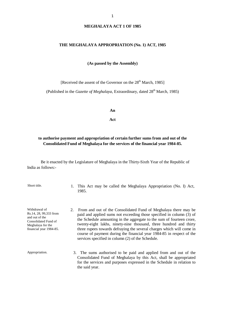#### **THE MEGHALAYA APPROPRIATION (No. 1) ACT, 1985**

**(As passed by the Assembly)**

[Received the assent of the Governor on the 28<sup>th</sup> March, 1985]

(Published in the *Gazette of Meghalaya*, Extraordinary, dated 28<sup>th</sup> March, 1985)

**An**

**Act**

#### **to authorise payment and appropriation of certain further sums from and out of the Consolidated Fund of Meghalaya for the services of the financial year 1984-85.**

Be it enacted by the Legislature of Meghalaya in the Thirty-Sixth Year of the Republic of India as follows:-

Short title. 1. This Act may be called the Meghalaya Appropriation (No. I) Act, 1985.

Withdrawal of Rs.14, 28, 99,333 from and out of the Consolidated Fund of Meghalaya for the financial year 1984-85.

- 2. From and out of the Consolidated Fund of Meghalaya there may be paid and applied sums not exceeding those specified in column (3) of the Schedule amounting in the aggregate to the sum of fourteen crore, twenty-eight lakhs, ninety-nine thousand, three hundred and thirty three rupees towards defraying the several charges which will come in course of payment during the financial year 1984-85 in respect of the services specified in column (2) of the Schedule.
- Appropriation. 3. The sums authorised to be paid and applied from and out of the Consolidated Fund of Meghalaya by this Act, shall be appropriated for the services and purposes expressed in the Schedule in relation to the said year.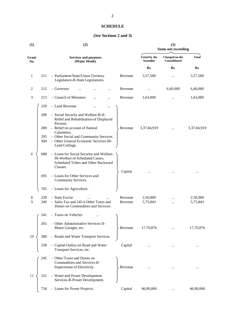# **SCHEDULE**

# **(***See* **Sections 2 and 3)**

| (1)          |            | (2)                                                                                                                             | (3)<br><b>Sums not exceeding</b> |                                 |                                       |                      |
|--------------|------------|---------------------------------------------------------------------------------------------------------------------------------|----------------------------------|---------------------------------|---------------------------------------|----------------------|
| Grant<br>No. |            | <b>Services and purposes</b><br>(Major Heads)                                                                                   |                                  | Voted by the<br><b>Assembly</b> | Charged on the<br><b>Consolidated</b> | <b>Total</b>         |
|              |            |                                                                                                                                 |                                  | Rs.                             | Rs.                                   | Rs.                  |
| 1            | 211        | - Parliament/State/Union Territory<br>Legislature-B-State Legislatures.                                                         | Revenue                          | 5,57,500                        |                                       | 5,57,500             |
| 2            | 212        | - Governor                                                                                                                      | Revenue                          |                                 | 6,40,000                              | 6,40,000             |
| 3            | 213        | - Council of Ministers<br>.                                                                                                     | Revenue                          | 1,63,000                        |                                       | 1,63,000             |
|              | 229        | - Land Revenue                                                                                                                  |                                  |                                 |                                       |                      |
|              | 288        | - Social Security and Welfare-B-II-<br>Relief and Rehabilitation of Displaced<br>Persons.                                       |                                  |                                 |                                       |                      |
|              | 289        | - Relief on account of Natural<br>Calamities.                                                                                   | Revenue                          | 3,37,04,919                     |                                       | 3,37,04,919          |
|              | 295<br>304 | - Other Social and Community Services.<br>- Other General Economic Services-III-<br>Land Ceilings.                              |                                  |                                 |                                       |                      |
| 6            | 688        | - Loans for Social Security and Welfare-<br>III-Welfare of Scheduled Castes,<br>Scheduled Tribes and Other Backward<br>Classes. |                                  |                                 |                                       |                      |
|              | 695        | - Loans for Other Services and<br>Community Services.                                                                           | Capital                          |                                 |                                       |                      |
|              | 705        | - Loans for Agriculture.                                                                                                        |                                  |                                 |                                       |                      |
| 8<br>9       | 239<br>240 | - State Excise<br>- Sales Tax and 245-I-Other Taxes and<br>Duties on Commodities and Services.                                  | Revenue<br>Revenue               | 2,56,000<br>5,75,843            | <br>                                  | 2,56,000<br>5,75,843 |
|              | 241        | - Taxes on Vehicles                                                                                                             |                                  |                                 |                                       |                      |
|              | 265        | - Other Administrative Services-II-<br>Motor Garages, etc.                                                                      | Revenue                          | 17,70,876                       |                                       | 17,70,876            |
| 10           | 388        | - Roads and Water Transport Services.                                                                                           |                                  |                                 |                                       |                      |
|              | 538        | - Capital Outlay on Road and Water<br>Transport Services, etc.                                                                  | Capital                          |                                 |                                       |                      |
|              | 245        | Other Taxes and Duties on<br>$\equiv$<br>Commodities and Services-II-<br>Inspectorate of Electricity.                           | Revenue                          |                                 |                                       |                      |
| 11           | 331        | - Water and Power Development<br>Services-B-Power Development.                                                                  |                                  |                                 |                                       |                      |
|              | 734        | - Loans for Power Projects.                                                                                                     | Capital                          | 46,00,000                       | $\cdots$                              | 46,00,000            |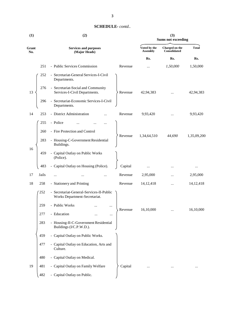| (1)          | (3)<br>(2)<br><b>Sums not exceeding</b> |                                                                           |         |                                 |                                |              |
|--------------|-----------------------------------------|---------------------------------------------------------------------------|---------|---------------------------------|--------------------------------|--------------|
| Grant<br>No. |                                         | <b>Services and purposes</b><br>(Major Heads)                             |         | Voted by the<br><b>Assembly</b> | Charged on the<br>Consolidated | <b>Total</b> |
|              |                                         |                                                                           |         | Rs.                             | Rs.                            | Rs.          |
|              | 251                                     | - Public Services Commission                                              | Revenue | $\cdots$                        | 1,50,000                       | 1,50,000     |
|              | 252                                     | - Secretariat-General Services-I-Civil<br>Departments.                    |         |                                 |                                |              |
| 13           | 276                                     | - Secretariat-Social and Community<br>Services-I-Civil Departments.       | Revenue | 42,94,383                       |                                | 42,94,383    |
|              | 296                                     | - Secretariat-Economic Services-I-Civil<br>Departments.                   |         |                                 |                                |              |
| 14           | 253                                     | - District Administration                                                 | Revenue | 9,93,420                        |                                | 9,93,420     |
|              | 255                                     | - Police                                                                  |         |                                 |                                |              |
|              | 260                                     | - Fire Protection and Control                                             |         |                                 |                                |              |
|              | 283                                     | - Housing-C-Government Residential<br>Buildings.                          | Revenue | 1,34,64,510                     | 44,690                         | 1,35,09,200  |
| 16           | 459                                     | - Capital Outlay on Public Works<br>(Police).                             |         |                                 |                                |              |
|              | 483                                     | - Capital Outlay on Housing (Police).                                     | Capital | $\cdots$                        |                                | $\cdots$     |
| 17           | Jails                                   |                                                                           | Revenue | 2,95,000                        |                                | 2,95,000     |
| 18           | 258                                     | - Stationery and Printing                                                 | Revenue | 14, 12, 418                     |                                | 14, 12, 418  |
|              | 252                                     | - Secretariat-General-Services-II-Public<br>Works Department-Secretariat. |         |                                 |                                |              |
|              | 259                                     | - Public Works<br>$\cdots$                                                |         |                                 |                                |              |
|              | 277                                     | - Education<br>                                                           | Revenue | 16,10,000                       |                                | 16,10,000    |
|              | 283                                     | - Housing-II-C-Government Residential<br>Buildings (I/C.P.W.D.).          |         |                                 |                                |              |
|              | 459                                     | - Capital Outlay on Public Works.                                         |         |                                 |                                |              |
|              | 477                                     | - Capital Outlay on Education, Arts and<br>Culture.                       |         |                                 |                                |              |
|              | 480                                     | - Capital Outlay on Medical.                                              |         |                                 |                                |              |
| 19           | 481                                     | - Capital Outlay on Family Welfare                                        | Capital |                                 |                                |              |
|              | 482                                     | - Capital Outlay on Public.                                               |         |                                 |                                |              |
|              |                                         |                                                                           |         |                                 |                                |              |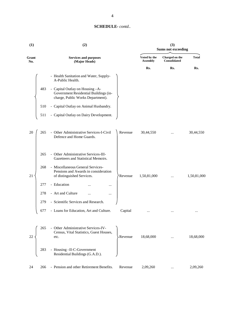| (1)          |     | (2)                                                                                                          | (3)<br><b>Sums not exceeding</b> |                                 |                                |              |
|--------------|-----|--------------------------------------------------------------------------------------------------------------|----------------------------------|---------------------------------|--------------------------------|--------------|
| Grant<br>No. |     | <b>Services and purposes</b><br>(Major Heads)                                                                |                                  | Voted by the<br><b>Assembly</b> | Charged on the<br>Consolidated | <b>Total</b> |
|              |     |                                                                                                              |                                  | Rs.                             | Rs.                            | Rs.          |
|              |     | - Health Sanitation and Water, Supply-<br>A-Public Health.                                                   |                                  |                                 |                                |              |
|              | 483 | - Capital Outlay on Housing-A-<br>Government Residential Buildings (in-<br>charge, Public Works Department). |                                  |                                 |                                |              |
|              | 510 | - Capital Outlay on Animal Husbandry.                                                                        |                                  |                                 |                                |              |
|              | 511 | - Capital Outlay on Dairy Development.                                                                       |                                  |                                 |                                |              |
| 20           | 265 | - Other Administrative Services-I-Civil<br>Defence and Home Guards.                                          | Revenue                          | 30,44,550                       |                                | 30,44,550    |
|              | 265 | - Other Administrative Services-III-<br>Gazetteers and Statistical Memoirs.                                  |                                  |                                 |                                |              |
| 21           | 268 | - Miscellaneous General Services-<br>Pensions and Awards in consideration<br>of distinguished Services.      | Revenue                          | 1,50,81,000                     |                                | 1,50,81,000  |
|              | 277 | - Education<br>                                                                                              |                                  |                                 |                                |              |
|              | 278 | - Art and Culture<br>$\cdot \cdot$<br>                                                                       |                                  |                                 |                                |              |
|              | 279 | - Scientific Services and Research.                                                                          |                                  |                                 |                                |              |
| x            | 677 | - Loans for Education, Art and Culture.                                                                      | Capital                          |                                 |                                |              |
|              |     |                                                                                                              |                                  |                                 |                                |              |
| 22           | 265 | - Other Administrative Services-IV-<br>Census, Vital Statistics, Guest Houses,<br>etc.                       | Revenue                          | 18,68,000                       |                                | 18,68,000    |
|              | 283 | - Housing-II-C-Government<br>Residential Buildings (G.A.D.).                                                 |                                  |                                 |                                |              |
| 24           | 266 | - Pension and other Retirement Benefits.                                                                     | Revenue                          | 2,09,260                        | $\cdots$                       | 2,09,260     |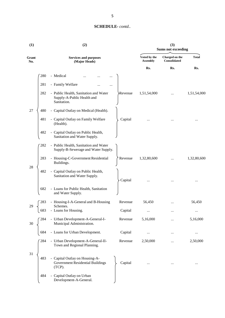| (1)          |     | (2)                                                                                    | (3)<br><b>Sums not exceeding</b> |                                 |                                |              |
|--------------|-----|----------------------------------------------------------------------------------------|----------------------------------|---------------------------------|--------------------------------|--------------|
| Grant<br>No. |     | <b>Services and purposes</b><br>(Major Heads)                                          |                                  | Voted by the<br><b>Assembly</b> | Charged on the<br>Consolidated | <b>Total</b> |
|              |     |                                                                                        |                                  | Rs.                             | Rs.                            | Rs.          |
|              | 280 | - Medical                                                                              |                                  |                                 |                                |              |
|              | 281 | - Family Welfare                                                                       |                                  |                                 |                                |              |
|              | 282 | - Public Health, Sanitation and Water<br>Supply-A-Public Health and<br>Sanitation.     | ≻Revenue                         | 1,51,54,000                     |                                | 1,51,54,000  |
| 27           | 480 | - Capital Outlay on Medical (Health).                                                  |                                  |                                 |                                |              |
|              | 481 | - Capital Outlay on Family Welfare<br>(Health).                                        | Capital                          |                                 |                                |              |
|              | 482 | - Capital Outlay on Public Health,<br>Sanitation and Water Supply.                     |                                  |                                 |                                |              |
|              | 282 | - Public Health, Sanitation and Water<br>Supply-B-Sewerage and Water Supply.           |                                  |                                 |                                |              |
|              | 283 | - Housing-C-Government Residential<br>Buildings.                                       | Revenue                          | 1,32,80,600                     | $\cdots$                       | 1,32,80,600  |
| 28           | 482 | - Capital Outlay on Public Health,<br>Sanitation and Water Supply.                     | Capital                          |                                 |                                |              |
|              | 682 | - Loans for Public Health, Sanitation<br>and Water Supply.                             |                                  |                                 |                                |              |
| 29           | 283 | - Housing-I-A-General and B-Housing<br>Schemes.                                        | Revenue                          | 56,450                          |                                | 56,450       |
|              | 683 | - Loans for Housing.                                                                   | Capital                          | $\cdots$                        |                                |              |
| 30           | 284 | - Urban Development-A-General-I-<br>Municipal Administration.                          | Revenue                          | 5,16,000                        |                                | 5,16,000     |
|              | 684 | - Loans for Urban Development.                                                         | Capital                          |                                 |                                |              |
|              | 284 | - Urban Development-A-General-II-<br>Town and Regional Planning.                       | Revenue                          | 2,50,000                        |                                | 2,50,000     |
| 31           | 483 | - Capital Outlay on Housing-A-<br><b>Government Residential Buildings</b><br>$(TCP)$ . | Capital                          |                                 |                                |              |
|              | 484 | - Capital Outlay on Urban<br>Development-A-General.                                    |                                  |                                 |                                |              |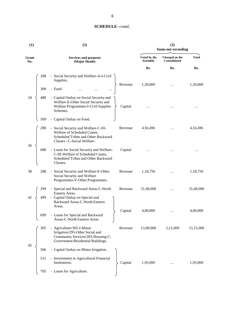| (1)          | (3)<br><b>Sums not exceeding</b>                                                                                                                             |                                 |                                       |              |
|--------------|--------------------------------------------------------------------------------------------------------------------------------------------------------------|---------------------------------|---------------------------------------|--------------|
| Grant<br>No. | <b>Services and purposes</b><br>(Major Heads)                                                                                                                | Voted by the<br><b>Assembly</b> | Charged on the<br><b>Consolidated</b> | <b>Total</b> |
|              |                                                                                                                                                              | Rs.                             | Rs.                                   | Rs.          |
|              | - Social Security and Welfare-A-I-Civil<br>288<br>Supplies.                                                                                                  |                                 |                                       |              |
|              | Revenue<br>- Food<br>309                                                                                                                                     | 1,30,000                        |                                       | 1,30,000     |
| 34           | 488<br>- Capital Outlay on Social Security and<br>Welfare-E-Other Social Security and<br>Welfare Programmes-I-Civil Supplies<br>Capital<br>Schemes.          |                                 |                                       |              |
|              | - Capital Outlay on Food.<br>509                                                                                                                             |                                 |                                       |              |
| 36           | 288<br>- Social Security and Welfare-C-III-<br>Revenue<br>Welfare of Scheduled Castes,<br>Scheduled Tribes and Other Backward<br>Classes - C-Social Welfare. | 4,56,496                        |                                       | 4,56,496     |
|              | Capital<br>688<br>- Loans for Social Security and Welfare-<br>C-III-Welfare of Scheduled Castes,<br>Scheduled Tribes and Other Backward<br>Classes.          |                                 |                                       |              |
| 38           | 288<br>- Social Security and Welfare-E-Other<br>Revenue<br>Social Security and Welfare<br>Programmes-V-Other Programmes.                                     | 1,18,750                        |                                       | 1,18,750     |
|              | 299<br>- Special and Backward Areas-C-North<br>Revenue<br>Eastern Areas.                                                                                     | 31,68,000                       |                                       | 31,68,000    |
| 42           | - Capital Outlay on Special and<br>499<br>Backward Areas-C-North Eastern<br>Areas.                                                                           |                                 |                                       |              |
|              | Capital<br>- Loans for Special and Backward<br>699<br>Areas-C-North Eastern Areas.                                                                           | 4,00,000                        |                                       | 4,00,000     |
|              | - Agriculture/305-I-Minor<br>305<br>Revenue<br>Irrigation/295-Other Social and<br>Community Services/283-Housing-C-<br>Government Residential Buildings.     | 13,00,000                       | 2,15,000                              | 15,15,000    |
| 45           | - Capital Outlay on Minor Irrigation.<br>506                                                                                                                 |                                 |                                       |              |
|              | - Investments in Agricultural Financial<br>515<br>Institutions.<br>Capital                                                                                   | 1,93,000                        |                                       | 1,93,000     |
|              | - Loans for Agriculture.<br>705                                                                                                                              |                                 |                                       |              |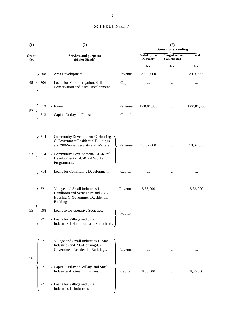| (1)                  | (2)                                                                                                                                                                                                                                                  |                    | (3)<br><b>Sums not exceeding</b> |                                |             |  |
|----------------------|------------------------------------------------------------------------------------------------------------------------------------------------------------------------------------------------------------------------------------------------------|--------------------|----------------------------------|--------------------------------|-------------|--|
| Grant<br>No.         | <b>Services and purposes</b><br>(Major Heads)                                                                                                                                                                                                        |                    | Voted by the<br><b>Assembly</b>  | Charged on the<br>Consolidated | Total       |  |
|                      |                                                                                                                                                                                                                                                      |                    | Rs.                              | Rs.                            | Rs.         |  |
|                      |                                                                                                                                                                                                                                                      | Revenue            | 20,00,000                        | $\ddotsc$                      | 20,00,000   |  |
|                      | $48 \begin{cases} 308 & - \text{ Area Development} \\ 706 & - \text{LOans for Minor Irrigation, Soil} \\ \text{Conservation and Area Development.} \end{cases}$                                                                                      | Capital            | $\cdots$                         | $\cdots$                       |             |  |
|                      | 52 $\begin{cases} 313 \text{ - Forest} & \dots & \dots & \dots \\ 513 \text{ - Capital Outlay on Forests.} \end{cases}$                                                                                                                              | Revenue            | 1,00,81,850                      | $\cdots$                       | 1,00,81,850 |  |
|                      |                                                                                                                                                                                                                                                      | Capital            | $\ddotsc$                        | $\cdots$                       | $\cdots$    |  |
| 314<br>$53 \sqrt{ }$ | - Community Development-C-Housing-<br>C-Government Residential Buildings<br>and 288-Social Security and Welfare.<br>314 - Community Development-II-C-Rural<br>Development -II-C-Rural Works<br>Programmes.<br>714 - Loans for Community Development. | Revenue<br>Capital | 18,62,000                        |                                | 18,62,000   |  |
|                      |                                                                                                                                                                                                                                                      |                    | $\cdots$                         | $\cdots$                       | $\cdots$    |  |
| 321                  | - Village and Small Industries-I-<br>Handloom and Sericulture and 283-<br>Housing-C-Government Residential<br>Buildings.                                                                                                                             | Revenue            | 5,36,000                         | $\cdots$                       | 5,36,000    |  |
| 55<br>698<br>721     | - Loans to Co-operative Societies.<br>- Loans for Village and Small<br>Industries-I-Handloom and Sericulture.                                                                                                                                        | Capital            |                                  |                                |             |  |
| 321<br>56            | - Village and Small Industries-II-Small<br>Industries and 283-Housing-C-<br>Government Residential Buildings.                                                                                                                                        | Revenue            |                                  |                                |             |  |
| 521                  | - Capital Outlay on Village and Small<br>Industries-II-Small Industries.                                                                                                                                                                             | Capital            | 8,36,000                         |                                | 8,36,000    |  |
| 721                  | - Loans for Village and Small<br>Industries-II-Industries.                                                                                                                                                                                           |                    |                                  |                                |             |  |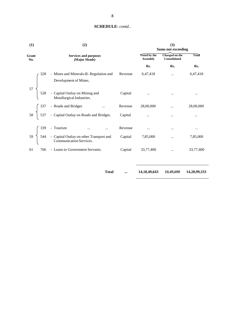| (1)          | (2)                                                                                                                               | (3)<br><b>Sums not exceeding</b> |                                        |                                       |           |
|--------------|-----------------------------------------------------------------------------------------------------------------------------------|----------------------------------|----------------------------------------|---------------------------------------|-----------|
| Grant<br>No. | <b>Services and purposes</b><br>(Major Heads)                                                                                     |                                  | <b>Voted by the</b><br><b>Assembly</b> | Charged on the<br><b>Consolidated</b> | Total     |
|              |                                                                                                                                   |                                  | Rs.                                    | Rs.                                   | Rs.       |
|              | - Mines and Minerals-B-Regulation and                                                                                             | Revenue                          | 6,47,418                               |                                       | 6,47,418  |
|              | Development of Mines.<br>57<br>528 - Capital Outlay on Mining and<br>Metallurgical Industries.                                    | Capital                          |                                        |                                       | $\cdots$  |
|              |                                                                                                                                   | Revenue                          | 28,00,000                              | $\cdots$                              | 28,00,000 |
|              | $58 \begin{cases} 337 & - \text{Roads and Bridges} \\ 537 & - \text{Capital Outlay on Roads and Bridges.} \end{cases}$            | Capital                          | $\cdots$                               | $\cdots$                              | $\cdots$  |
|              |                                                                                                                                   | Revenue                          | $\cdots$                               | $\cdots$                              | $\cdots$  |
|              | 59<br>544 - Capital Outlay on other Transport and<br>671 - Capital Outlay on other Transport and<br>671 - Communication Services. | Capital                          | 7,85,000                               | $\cdots$                              | 7,85,000  |
| 61           | - Loans to Government Servants.<br>766                                                                                            | Capital                          | 33,77,400                              | $\dddotsc$                            | 33,77,400 |
|              |                                                                                                                                   |                                  |                                        |                                       |           |

**Total ... 14,18,49,643** *10,49,690* **14,28,99,333**

8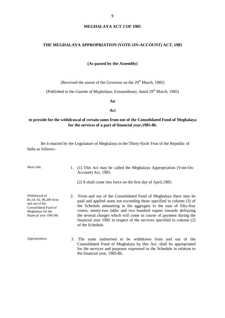#### **MEGHALAYA ACT 2 OF 1985**

#### **THE MEGHALAYA APPROPRIATION (VOTE-ON-ACCOUNT) ACT, 1985**

#### **(As passed by the Assembly)**

[Received the assent of the Governor on the 29<sup>th</sup> March, 1985]

(Published in the *Gazette of Meghalaya*, Extraordinary, dated 29<sup>th</sup> March, 1985)

**An**

#### **Act**

# **to provide for the withdrawal of certain sums from out of the Consolidated Fund of Meghalaya for the services of a part of financial year,1985-86.**

| Short title.                                                                                                                       |    | (1) This Act may be called the Meghalaya Appropriation (Vote-On-<br>Account) Act, 1985.                                                                                                                                                                                                                                                                                                                                                               |
|------------------------------------------------------------------------------------------------------------------------------------|----|-------------------------------------------------------------------------------------------------------------------------------------------------------------------------------------------------------------------------------------------------------------------------------------------------------------------------------------------------------------------------------------------------------------------------------------------------------|
|                                                                                                                                    |    | (2) It shall come into force on the first day of April, 1985.                                                                                                                                                                                                                                                                                                                                                                                         |
| Withdrawal of<br>Rs.54, 92, 00, 200 from<br>and out of the<br>Consolidated Fund of<br>Meghalaya for the<br>financial year 1985-86. | 2. | From and out of the Consolidated Fund of Meghalaya there may be<br>paid and applied sums not exceeding those specified in column (3) of<br>the Schedule amounting in the aggregate to the sum of fifty-four<br>crores, ninety-two lakhs and two hundred rupees towards defraying<br>the several charges which will come in course of payment during the<br>financial year 1985 in respect of the services specified in column (2)<br>of the Schedule. |
| Appropriation.                                                                                                                     | 3. | The sums authorised to be withdrawn from and out of the<br>Consolidated Fund of Meghalaya by this Act, shall be appropriated<br>for the services and purposes expressed in the Schedule in relation to<br>the financial year, 1985-86.                                                                                                                                                                                                                |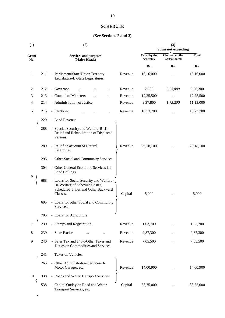# **SCHEDULE**

# **(***See* **Sections 2 and 3)**

|     | (2)                                                                                                                            |         | (3)<br><b>Sums not exceeding</b> |                                       |              |  |
|-----|--------------------------------------------------------------------------------------------------------------------------------|---------|----------------------------------|---------------------------------------|--------------|--|
|     | <b>Services and purposes</b><br>(Major Heads)                                                                                  |         | Voted by the<br><b>Assembly</b>  | Charged on the<br><b>Consolidated</b> | <b>Total</b> |  |
|     |                                                                                                                                |         | Rs.                              | Rs.                                   | Rs.          |  |
| 211 | - Parliament/State/Union Territory<br>Legislature-B-State Legislatures.                                                        | Revenue | 16,16,000                        |                                       | 16,16,000    |  |
| 212 | - Governor                                                                                                                     | Revenue | 2,500                            | 5,23,800                              | 5,26,300     |  |
| 213 | - Council of Ministers                                                                                                         | Revenue | 12,25,500                        |                                       | 12,25,500    |  |
| 214 | - Administration of Justice.                                                                                                   | Revenue | 9,37,800                         | 1,75,200                              | 11,13,000    |  |
| 215 | - Elections.                                                                                                                   | Revenue | 18,73,700                        | $\cdots$                              | 18,73,700    |  |
| 229 | - Land Revenue                                                                                                                 |         |                                  |                                       |              |  |
| 288 | - Special Security and Welfare-B-II-<br>Relief and Rehabilitation of Displaced<br>Persons.                                     |         |                                  |                                       |              |  |
| 289 | - Relief on account of Natural<br>Calamities.                                                                                  | Revenue | 29,18,100                        | $\cdots$                              | 29,18,100    |  |
| 295 | - Other Social and Community Services.                                                                                         |         |                                  |                                       |              |  |
| 304 | - Other General Economic Services-III-<br>Land Ceilings.                                                                       |         |                                  |                                       |              |  |
| 688 | - Loans for Social Security and Welfare-<br>III-Welfare of Schedule Castes,<br>Scheduled Tribes and Other Backward<br>Classes. | Capital | 5,000                            |                                       | 5,000        |  |
| 695 | - Loans for other Social and Community<br>Services.                                                                            |         |                                  |                                       |              |  |
| 705 | - Loans for Agriculture.                                                                                                       |         |                                  |                                       |              |  |
| 230 | - Stamps and Registration.                                                                                                     | Revenue | 1,03,700                         |                                       | 1,03,700     |  |
| 239 | - State Excise                                                                                                                 | Revenue | 9,87,300                         | $\ddotsc$                             | 9,87,300     |  |
| 240 | - Sales Tax and 245-I-Other Taxes and<br>Duties on Commodities and Services.                                                   | Revenue | 7,05,500                         |                                       | 7,05,500     |  |
| 241 | - Taxes on Vehicles.                                                                                                           |         |                                  |                                       |              |  |
| 265 | - Other Administrative Services-II-<br>Motor Garages, etc.                                                                     | Revenue | 14,00,900                        |                                       | 14,00,900    |  |
| 338 | - Roads and Water Transport Services.                                                                                          |         |                                  |                                       |              |  |
| 538 | - Capital Outlay on Road and Water<br>Transport Services, etc.                                                                 | Capital | 38,75,000                        |                                       | 38,75,000    |  |
|     |                                                                                                                                |         |                                  |                                       |              |  |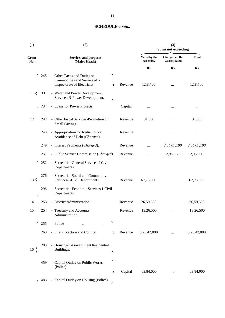| (1)          |     | (2)                                                                                         | (3)<br><b>Sums not exceeding</b> |                                 |                                |              |
|--------------|-----|---------------------------------------------------------------------------------------------|----------------------------------|---------------------------------|--------------------------------|--------------|
| Grant<br>No. |     | <b>Services and purposes</b><br>(Major Heads)                                               |                                  | Voted by the<br><b>Assembly</b> | Charged on the<br>Consolidated | <b>Total</b> |
|              |     |                                                                                             |                                  | Rs.                             | Rs.                            | Rs.          |
|              | 245 | - Other Taxes and Duties on<br>Commodities and Services-II-<br>Inspectorate of Electricity. | Revenue                          | 1,18,700                        |                                | 1,18,700     |
| 11           | 331 | - Water and Power Development,<br>Services-B-Power Development.                             |                                  |                                 |                                |              |
|              | 734 | - Loans for Power Projects.                                                                 | Capital                          |                                 |                                | $\cdots$     |
| 12           | 247 | - Other Fiscal Services-Promotion of<br>Small Savings.                                      | Revenue                          | 31,800                          | $\cdots$                       | 31,800       |
|              | 248 | - Appropriation for Reduction or<br>Avoidance of Debt (Charged).                            | Revenue                          | $\cdots$                        |                                |              |
|              | 249 | - Interest Payments (Charged).                                                              | Revenue                          | $\ddotsc$                       | 2,04,07,100                    | 2,04,07,100  |
|              | 251 | - Public Service Commission (Charged).                                                      | Revenue                          |                                 | 2,06,300                       | 2,06,300     |
|              | 252 | - Secretariat-General Services-I-Civil<br>Departments.                                      |                                  |                                 |                                |              |
| 13           | 276 | - Secretariat-Social and Community<br>Services-I-Civil Departments.                         | Revenue                          | 67,75,000                       |                                | 67,75,000    |
|              | 296 | - Secretariat-Economic Services-I-Civil<br>Departments.                                     |                                  |                                 |                                |              |
| 14           | 253 | - District Administration                                                                   | Revenue                          | 26,59,500                       | $\ddotsc$                      | 26,59,500    |
| 15           |     | 254 - Treasury and Accounts<br>Administration.                                              | Revenue                          | 13,26,500                       |                                | 13,26,500    |
|              | 255 | - Police                                                                                    |                                  |                                 |                                |              |
|              | 260 | - Fire Protection and Control                                                               | Revenue                          | 3,28,42,000                     |                                | 3,28,42,000  |
| 16           | 283 | - Housing-C-Government Residential<br>Buildings.                                            |                                  |                                 |                                |              |
|              | 459 | - Capital Outlay on Public Works<br>(Police).                                               | Capital                          | 63,84,000                       |                                | 63,84,000    |
|              | 483 | - Capital Outlay on Housing (Police)                                                        |                                  |                                 |                                |              |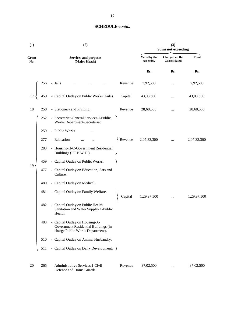| (1)          |     | (2)                                                                                                         | (3)<br><b>Sums not exceeding</b> |                                 |                                |              |
|--------------|-----|-------------------------------------------------------------------------------------------------------------|----------------------------------|---------------------------------|--------------------------------|--------------|
| Grant<br>No. |     | <b>Services and purposes</b><br>(Major Heads)                                                               |                                  | Voted by the<br><b>Assembly</b> | Charged on the<br>Consolidated | <b>Total</b> |
|              |     |                                                                                                             |                                  | Rs.                             | Rs.                            | Rs.          |
|              | 256 | - Jails<br>                                                                                                 | Revenue                          | 7,92,500                        | $\cdots$                       | 7,92,500     |
| 17           | 459 | - Capital Outlay on Public Works (Jails).                                                                   | Capital                          | 43,03.500                       | $\cdots$                       | 43,03.500    |
| 18           | 258 | - Stationery and Printing.                                                                                  | Revenue                          | 28,68,500                       |                                | 28,68,500    |
|              | 252 | - Secretariat-General Services-I-Public<br>Works Department-Secretariat.                                    |                                  |                                 |                                |              |
|              | 259 | - Public Works                                                                                              |                                  |                                 |                                |              |
|              | 277 | - Education                                                                                                 | Revenue                          | 2,07,33,300                     | $\cdots$                       | 2,07,33,300  |
|              | 283 | - Housing-II-C-Government Residential<br>Buildings (I/C.P.W.D.).                                            |                                  |                                 |                                |              |
|              | 459 | - Capital Outlay on Public Works.                                                                           |                                  |                                 |                                |              |
| 19           | 477 | - Capital Outlay on Education, Arts and<br>Culture.                                                         |                                  |                                 |                                |              |
|              | 480 | - Capital Outlay on Medical.                                                                                |                                  |                                 |                                |              |
|              | 481 | - Capital Outlay on Family Welfare.                                                                         | Capital                          | 1,29,97,500                     | $\cdots$                       | 1,29,97,500  |
|              | 482 | - Capital Outlay on Public Health,<br>Sanitation and Water Supply-A-Public<br>Health.                       |                                  |                                 |                                |              |
|              | 483 | - Capital Outlay on Housing-A-<br>Government Residential Buildings (in-<br>charge Public Works Department). |                                  |                                 |                                |              |
|              | 510 | - Capital Outlay on Animal Husbandry.                                                                       |                                  |                                 |                                |              |
|              | 511 | - Capital Outlay on Dairy Development.                                                                      |                                  |                                 |                                |              |
| 20           | 265 | - Administrative Services-I-Civil<br>Defence and Home Guards.                                               | Revenue                          | 37,02,500                       |                                | 37,02,500    |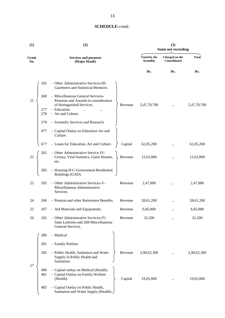| (1)          |            | (2)                                                                                                     | (3)<br><b>Sums not exceeding</b> |                                 |                                |              |
|--------------|------------|---------------------------------------------------------------------------------------------------------|----------------------------------|---------------------------------|--------------------------------|--------------|
| Grant<br>No. |            | <b>Services and purposes</b><br>(Major Heads)                                                           |                                  | Voted by the<br><b>Assembly</b> | Charged on the<br>Consolidated | <b>Total</b> |
|              |            |                                                                                                         |                                  | Rs.                             | Rs.                            | Rs.          |
|              | 265        | - Other Administrative Services-III-<br>Gazetteers and Statistical Memoirs.                             |                                  |                                 |                                |              |
| 21           | 268        | - Miscellaneous General Services-<br>Pensions and Awards in consideration<br>of distinguished Services. | Revenue                          | 5,47,70,700                     |                                | 5,47,70,700  |
|              | 277<br>278 | - Education<br>$\ddotsc$<br>- Art and Culture.                                                          |                                  |                                 |                                |              |
|              | 279        | - Scientific Services and Research.                                                                     |                                  |                                 |                                |              |
|              | 477        | - Capital Outlay on Education Art and<br>Culture.                                                       |                                  |                                 |                                |              |
|              | 677        | - Loans for Education, Art and Culture.                                                                 | Capital                          | 62,85,200                       |                                | 62,85,200    |
| 22           | 265        | - Other Administrative Service-IV-<br>Census, Vital Statistics, Guest Houses,<br>etc.                   | Revenue                          | 12,63,800                       |                                | 12,63,800    |
|              | 283        | - Housing-II-C-Government Residential<br>Buildings (GAD).                                               |                                  |                                 |                                |              |
| 23           | 265        | - Other Administrative Services-V-<br>Miscellaneous Administrative<br>Services.                         | Revenue                          | 2,47,000                        | $\cdots$                       | 2,47,000     |
| 24           | 266        | - Pension and other Retirement Benefits.                                                                | Revenue                          | 28,61,200                       |                                | 28,61,200    |
| 25           | 267        | - Aid Materials and Equipments.                                                                         | Revenue                          | 6,85,000                        | $\cdots$                       | 6,85,000     |
| 26           | 265        | - Other Administrative Services-IV-<br>State Lotteries and 268-Miscellaneous<br>General Services.       | Revenue                          | 32,200                          |                                | 32,200       |
|              | 280        | - Medical                                                                                               |                                  |                                 |                                |              |
|              | 281        | - Family Welfare                                                                                        |                                  |                                 |                                |              |
|              | 282        | - Public Health, Sanitation and Water<br>Supply-A-Public Health and<br>Sanitation.                      | Revenue                          | 2,90,62,300                     |                                | 2,90,62,300  |
| 27           | 480<br>481 | - Capital outlay on Medical (Health).<br>- Capital Outlay on Family Welfare<br>(Health).                | Capital                          | 19,05,800                       |                                | 19,05,800    |
|              | 482        | - Capital Outlay on Public Health,<br>Sanitation and Water Supply (Health).                             |                                  |                                 |                                |              |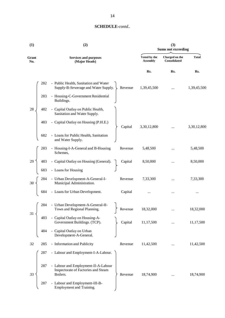| (1)          |     | (2)                                                                                    |         | (3)<br><b>Sums not exceeding</b> |                                       |              |  |
|--------------|-----|----------------------------------------------------------------------------------------|---------|----------------------------------|---------------------------------------|--------------|--|
| Grant<br>No. |     | <b>Services and purposes</b><br>(Major Heads)                                          |         | Voted by the<br><b>Assembly</b>  | Charged on the<br><b>Consolidated</b> | <b>Total</b> |  |
|              |     |                                                                                        |         | Rs.                              | Rs.                                   | Rs.          |  |
|              | 282 | - Public Health, Sanitation and Water<br>Supply-B-Sewerage and Water Supply.           | Revenue | 1,39,45,500                      |                                       | 1,39,45,500  |  |
|              | 283 | - Housing-C-Government Residential<br>Buildings.                                       |         |                                  |                                       |              |  |
| 28           | 482 | - Capital Outlay on Public Health,<br>Sanitation and Water Supply.                     |         |                                  |                                       |              |  |
|              | 483 | - Capital Outlay on Housing (P.H.E.)                                                   | Capital | 3,30,12,800                      |                                       | 3,30,12,800  |  |
|              | 682 | - Loans for Public Health, Sanitation<br>and Water Supply.                             |         |                                  |                                       |              |  |
|              | 283 | - Housing-I-A-General and B-Housing<br>Schemes,                                        | Revenue | 5,48,500                         |                                       | 5,48,500     |  |
| 29           | 483 | - Capital Outlay on Housing (General).                                                 | Capital | 8,50,000                         |                                       | 8,50,000     |  |
|              | 683 | - Loans for Housing                                                                    |         |                                  |                                       |              |  |
| 30           | 284 | - Urban Development-A-General-I-<br>Municipal Administration.                          | Revenue | 7,33,300                         | $\cdots$                              | 7,33,300     |  |
|              | 684 | - Loans for Urban Development.                                                         | Capital |                                  |                                       |              |  |
| 31           | 284 | - Urban Development-A-General-II-<br>Town and Regional Planning.<br>ر                  | Revenue | 18,32,000                        |                                       | 18,32,000    |  |
|              | 483 | - Capital Outlay on Housing-A-<br>Government Buildings. (TCP).                         | Capital | 11,17,500                        |                                       | 11,17,500    |  |
|              | 484 | - Capital Outlay on Urban<br>Development-A-General.                                    |         |                                  |                                       |              |  |
| 32           | 285 | - Information and Publicity                                                            | Revenue | 11,42,500                        |                                       | 11,42,500    |  |
|              | 287 | - Labour and Employment-I-A-Labour.                                                    |         |                                  |                                       |              |  |
| 33           | 287 | - Labour and Employment-II-A-Labour<br>Inspectorate of Factories and Steam<br>Boilers. | Revenue | 18,74,900                        |                                       | 18,74,900    |  |
|              | 287 | - Labour and Employment-III-B-<br>Employment and Training.                             |         |                                  |                                       |              |  |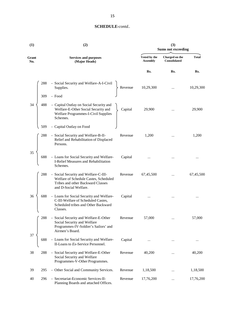| (1)          | (2)                                                                                                                                                           |                                 | (3)<br><b>Sums not exceeding</b>      |              |  |  |
|--------------|---------------------------------------------------------------------------------------------------------------------------------------------------------------|---------------------------------|---------------------------------------|--------------|--|--|
| Grant<br>No. | <b>Services and purposes</b><br>(Major Heads)                                                                                                                 | Voted by the<br><b>Assembly</b> | Charged on the<br><b>Consolidated</b> | <b>Total</b> |  |  |
|              |                                                                                                                                                               | Rs.                             | Rs.                                   | Rs.          |  |  |
|              | 288<br>- Social Security and Welfare-A-I-Civil<br>Supplies.<br>Revenue                                                                                        | 10,29,300                       |                                       | 10,29,300    |  |  |
|              | 309<br>- Food                                                                                                                                                 |                                 |                                       |              |  |  |
| 34           | 488<br>- Capital Outlay on Social Security and<br>Welfare-E-Other Social Security and<br>Capital<br>Welfare Programmes-I-Civil Supplies<br>Schemes.           | 29,900                          |                                       | 29,900       |  |  |
|              | - Capital Outlay on Food<br>509                                                                                                                               |                                 |                                       |              |  |  |
|              | 288<br>- Social Security and Welfare-B-II-<br>Revenue<br>Relief and Rehabilitation of Displaced<br>Persons.                                                   | 1,200                           | .                                     | 1,200        |  |  |
| 35           | 688<br>- Loans for Social Security and Welfare-<br>Capital<br>I-Relief Measures and Rehabilitation<br>Schemes.                                                |                                 | $\ddotsc$                             | $\cdots$     |  |  |
|              | - Social Security and Welfare-C-III-<br>288<br>Revenue<br>Welfare of Schedule Castes, Scheduled<br>Tribes and other Backward Classes<br>and D-Social Welfare. | 67,45,500                       |                                       | 67,45,500    |  |  |
| 36           | 688<br>- Loans for Social Security and Welfare-<br>Capital<br>C-III-Welfare of Scheduled Castes,<br>Scheduled tribes and Other Backward<br>Classes.           |                                 |                                       | $\cdots$     |  |  |
|              | 288<br>- Social Security and Welfare-E-Other<br>Revenue<br>Social Security and Welfare<br>Programmes-IV-Soldier's Sailors' and<br>Airmen's Board.             | 57,000                          |                                       | 57,000       |  |  |
| 37           | - Loans for Social Security and Welfare-<br>Capital<br>688<br>II-Loans to Ex-Service Personnel.                                                               |                                 |                                       |              |  |  |
| 38           | 288<br>- Social Security and Welfare-E-Other<br>Revenue<br>Social Security and Welfare<br>Programmes-V-Other Programmes.                                      | 40,200                          |                                       | 40,200       |  |  |
| 39           | - Other Social and Community Services.<br>Revenue<br>295                                                                                                      | 1,18,500                        |                                       | 1,18,500     |  |  |
| 40           | - Secretariat-Economic Services-II-<br>296<br>Revenue<br>Planning Boards and attached Offices.                                                                | 17,76,200                       |                                       | 17,76,200    |  |  |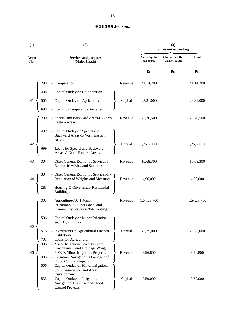| (1)                   | (2)                                                                                             | (3)<br><b>Sums not exceeding</b> |                                 |                                |              |
|-----------------------|-------------------------------------------------------------------------------------------------|----------------------------------|---------------------------------|--------------------------------|--------------|
| Grant<br>No.          | <b>Services and purposes</b><br>(Major Heads)                                                   |                                  | Voted by the<br><b>Assembly</b> | Charged on the<br>Consolidated | <b>Total</b> |
|                       |                                                                                                 |                                  | Rs.                             | Rs.                            | Rs.          |
| 298                   | - Co-operation                                                                                  | Revenue                          | 41,14,200                       |                                | 41,14,200    |
|                       | - Capital Outlay on Co-operation.                                                               |                                  |                                 |                                |              |
| $\frac{1}{505}$<br>41 | - Capital Outlay on Agriculture.<br>- Loans to Co-operative Societies.                          | Capital                          | 23,31,000                       |                                | 23,31,000    |
| 698                   |                                                                                                 |                                  |                                 |                                |              |
| 299                   | - Special and Backward Areas-C-North<br>Eastern Areas.                                          | Revenue                          | 25,76,500                       |                                | 25,76,500    |
| 499                   | - Capital Outlay on Special and<br>Backward Areas-C-North Eastern<br>Areas.                     |                                  |                                 |                                |              |
| 42<br>699             | - Loans for Special and Backward<br>Areas-C-North Eastern Areas.                                | Capital                          | 1,25,50,000                     |                                | 1,25,50,000  |
| 43<br>304             | - Other General Economic Services-I-<br>Economic Advice and Statistics.                         | Revenue                          | 10,68,300                       |                                | 10,68,300    |
| 304.                  | - Other General Economic Services-II-<br>Regulation of Weights and Measures.                    | Revenue                          | 4,96,000                        | $\cdots$                       | 4,96,000     |
|                       | - Housing-C-Government Residential<br>Buildings.                                                |                                  |                                 |                                |              |
| 305                   | - Agriculture/306-I-Minor<br>Irrigation/295-Other Social and<br>Community Services/284-Housing. | Revenue                          | 1,54,28,700                     | $\cdots$                       | 1,54,28,700  |
| 506                   | - Capital Outlay on Minor Irrigation,<br>etc. (Agriculture).                                    |                                  |                                 |                                |              |
| 45<br>515             | - Investments in Agricultural Financial<br>Institutions.                                        | Capital                          | 75,25,000                       |                                | 75,25,000    |
| 705<br>306            | - Loans for Agricultural.<br>- Minor Irrigation-II-Works under                                  |                                  |                                 |                                |              |
| 46                    | Embankment and Drainage Wing,<br>P.W.D. Minor Irrigation, Projects.                             | Revenue                          | 3,96,800                        |                                | 3,96,800     |
| 333                   | - Irrigation, Navigation, Drainage and<br>Flood Control Projects.                               |                                  |                                 |                                |              |
| 506                   | - Capital Outlay on Minor Irrigation,<br>Soil Conservation and Area<br>Development.             |                                  |                                 |                                |              |
| 533                   | - Capital Outlay on Irrigation,<br>Navigation, Drainage and Flood<br>Control Projects.          | Capital                          | 7,50,000                        |                                | 7,50,000     |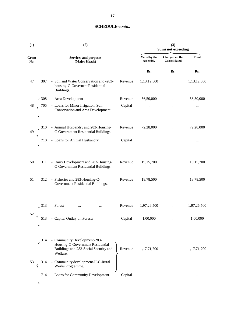| (1)          | (2)                                                                                                                                                                                           | (3)<br><b>Sums not exceeding</b> |                                |              |  |
|--------------|-----------------------------------------------------------------------------------------------------------------------------------------------------------------------------------------------|----------------------------------|--------------------------------|--------------|--|
| Grant<br>No. | <b>Services and purposes</b><br>(Major Heads)                                                                                                                                                 | Voted by the<br><b>Assembly</b>  | Charged on the<br>Consolidated | <b>Total</b> |  |
|              |                                                                                                                                                                                               | Rs.                              | Rs.                            | Rs.          |  |
| 47           | - Soil and Water Conservation and -283-<br>Revenue<br>307<br>housing-C-Governent Residential<br>Buildings.                                                                                    | 1.13.12,500                      |                                | 1.13.12,500  |  |
|              | Revenue<br>$\cdots$                                                                                                                                                                           | 56,50,000                        |                                | 56,50,000    |  |
|              | $48 \begin{bmatrix} 308 & - \text{Area Development} & \dots & \dots \\ 705 & - \text{Loans for Minor Irrigation, Soil} \\ \text{Conservation and Area Development.} \end{bmatrix}$<br>Capital | $\cdots$                         | $\cdots$                       | $\cdots$     |  |
|              | 310 - Animal Husbandry and 283-Housing-<br>Revenue                                                                                                                                            | 72,28,000                        | $\cdots$                       | 72,28,000    |  |
|              | C-Government Residential Buildings.<br>710 - Loans for Animal Husbandry.<br>Capital                                                                                                           | $\ldots$                         | $\cdots$                       | $\cdots$     |  |
| 50           | - Dairy Development and 283-Housing-<br>Revenue<br>311<br>C-Government Residential Buildings.                                                                                                 | 19,15,700                        | $\ddotsc$                      | 19,15,700    |  |
| 51           | - Fisheries and 283-Housing-C-<br>Revenue<br>312<br>Government Residential Buildings.                                                                                                         | 18,78,500                        | $\cdots$                       | 18,78,500    |  |
|              | - Forest<br>Revenue<br>313<br>$\cdots$<br>$\cdots$                                                                                                                                            | 1,97,26,500                      | $\cdots$                       | 1,97,26,500  |  |
| 52           | - Capital Outlay on Forests<br>Capital<br>513                                                                                                                                                 | 1,00,000                         |                                | 1,00,000     |  |
|              | - Community Development-283-<br>314<br>Housing-C-Government Residential<br>Buildings and 283-Social Security and<br>Revenue<br>Welfare.                                                       | 1,17,71,700                      |                                | 1,17,71,700  |  |
| 53           | - Community development-II-C-Rural<br>314<br>Works Programme.                                                                                                                                 |                                  |                                |              |  |
|              | - Loans for Community Development.<br>Capital<br>714                                                                                                                                          |                                  |                                |              |  |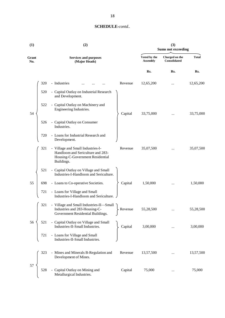| (1)          |     | (2)                                                                                                                      | (3)<br><b>Sums not exceeding</b> |                                 |                                |              |
|--------------|-----|--------------------------------------------------------------------------------------------------------------------------|----------------------------------|---------------------------------|--------------------------------|--------------|
| Grant<br>No. |     | <b>Services and purposes</b><br>(Major Heads)                                                                            |                                  | Voted by the<br><b>Assembly</b> | Charged on the<br>Consolidated | <b>Total</b> |
|              |     |                                                                                                                          |                                  | Rs.                             | Rs.                            | Rs.          |
|              | 320 | - Industries                                                                                                             | Revenue                          | 12,65,200                       |                                | 12,65,200    |
|              | 520 | - Capital Outlay on Industrial Research<br>and Development.                                                              |                                  |                                 |                                |              |
| 54           | 522 | - Capital Outlay on Machinery and<br>Engineering Industries.                                                             | Capital                          | 33,75,000                       |                                | 33,75,000    |
|              | 526 | - Capital Outlay on Consumer<br>Industries.                                                                              |                                  |                                 |                                |              |
|              | 720 | - Loans for Industrial Research and<br>Development.                                                                      |                                  |                                 |                                |              |
|              | 321 | - Village and Small Industries-I-<br>Handloom and Sericulture and 283-<br>Housing-C-Government Residential<br>Buildings. | Revenue                          | 35,07,500                       |                                | 35,07,500    |
|              | 521 | - Capital Outlay on Village and Small<br>Industries-I-Handloom and Sericulture.                                          |                                  |                                 |                                |              |
| 55           | 698 | - Loans to Co-operative Societies.                                                                                       | Capital                          | 1,50,000                        |                                | 1,50,000     |
|              | 721 | - Loans for Village and Small<br>Industries-I-Handloom and Sericulture.                                                  |                                  |                                 |                                |              |
|              | 321 | - Village and Small Industries-II-Small<br>Industries and 283-Housing-C-<br>Government Residential Buildings.            | Revenue                          | 55,28,500                       |                                | 55,28,500    |
| 56           | 521 | - Capital Outlay on Village and Small<br>Industries-II-Small Industries.                                                 | Capital                          | 3,00,000                        |                                | 3,00,000     |
|              | 721 | - Loans for Village and Small<br>Industries-II-Small Industries.                                                         |                                  |                                 |                                |              |
|              | 323 | - Mines and Minerals B-Regulation and<br>Development of Mines.                                                           | Revenue                          | 13,57,500                       |                                | 13,57,500    |
| 57           | 528 | - Capital Outlay on Mining and<br>Metallurgical Industries.                                                              | Capital                          | 75,000                          |                                | 75,000       |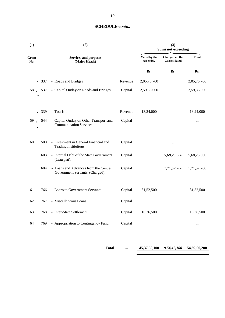| (1)          |     | (2)                                                                                                                                      | (3)<br><b>Sums not exceeding</b> |                                       |                      |             |
|--------------|-----|------------------------------------------------------------------------------------------------------------------------------------------|----------------------------------|---------------------------------------|----------------------|-------------|
| Grant<br>No. |     | <b>Services and purposes</b><br>(Major Heads)                                                                                            | Voted by the<br><b>Assembly</b>  | Charged on the<br><b>Consolidated</b> | <b>Total</b>         |             |
|              |     |                                                                                                                                          |                                  | Rs.                                   | Rs.                  | Rs.         |
|              |     |                                                                                                                                          | Revenue                          | 2,05,76,700                           | $\cdots$             | 2,05,76,700 |
|              |     | $58\begin{cases}\n337 & - \text{Roads} \text{ and Bridges} \\ 537 & - \text{ Capital Outlay on Roads} \text{ and Bridges.}\n\end{cases}$ | Capital                          | 2,59,36,000                           | $\cdots$             | 2,59,36,000 |
|              |     | - Tourism                                                                                                                                | Revenue                          | 13,24,000                             | $\ddotsc$            | 13,24,000   |
|              |     | 59<br>544 - Capital Outlay on Other Transport and<br>Communication Services.                                                             | Capital                          | $\cdots$                              | $\ldots$             | $\cdots$    |
| 60           | 500 | - Investment in General Financial and<br>Trading Institutions.                                                                           | Capital                          | $\ldots$                              | $\ddot{\phantom{a}}$ | $\cdots$    |
|              | 603 | - Internal Debt of the State Government<br>(Charged).                                                                                    | Capital                          | $\ddotsc$                             | 5,68,25,000          | 5,68,25,000 |
|              | 604 | - Loans and Advances from the Central<br>Government Servants. (Charged).                                                                 | Capital                          | $\cdots$                              | 1,71,52,200          | 1,71,52,200 |
| 61           | 766 | - Loans to Government Servants                                                                                                           | Capital                          | 31,52,500                             | $\ddotsc$            | 31,52,500   |
| 62           | 767 | - Miscellaneous Loans                                                                                                                    | Capital                          | $\ldots$                              | $\cdots$             | $\cdots$    |
| 63           | 768 | - Inter-State Settlement.                                                                                                                | Capital                          | 16,36,500                             | $\cdots$             | 16,36,500   |
| 64           | 769 | - Appropriation to Contingency Fund.                                                                                                     | Capital                          | $\cdots$                              | $\cdots$             | $\cdots$    |

**Total ... 45,37,58,100** *9,54,42,100* **54,92,00,200**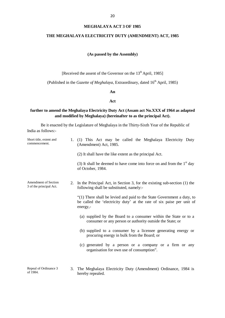#### **MEGHALAYA ACT 3 OF 1985**

#### **THE MEGHALAYA ELECTRICITY DUTY (AMENDMENT) ACT, 1985**

#### **(As passed by the Assembly)**

[Received the assent of the Governor on the 13<sup>th</sup> April, 1985]

(Published in the *Gazette of Meghalaya*, Extraordinary, dated 16<sup>th</sup> April, 1985)

#### **An**

#### **Act**

# **further to amend the Meghalaya Electricity Duty Act (Assam act No.XXX of 1964 as adapted and modified by Meghalaya) (hereinafter to as the principal Act).**

Be it enacted by the Legislature of Meghalaya in the Thirty-Sixth Year of the Republic of India as follows:-

| Short title, extent and<br>commencement.        | 1. | (1) This Act may be called the Meghalaya Electricity Duty<br>(Amendment) Act, 1985.                                                                         |
|-------------------------------------------------|----|-------------------------------------------------------------------------------------------------------------------------------------------------------------|
|                                                 |    | (2) It shall have the like extent as the principal Act.                                                                                                     |
|                                                 |    | (3) It shall be deemed to have come into force on and from the $1st$ day<br>of October, 1984.                                                               |
| Amendment of Section<br>3 of the principal Act. | 2. | In the Principal Act, in Section 3, for the existing sub-section (1) the<br>following shall be substituted, namely:-                                        |
|                                                 |    | "(1) There shall be levied and paid to the State Government a duty, to<br>be called the 'electricity duty' at the rate of six paise per unit of<br>energy,- |
|                                                 |    | (a) supplied by the Board to a consumer within the State or to a<br>consumer or any person or authority outside the State; or                               |
|                                                 |    | (b) supplied to a consumer by a licensee generating energy or<br>procuring energy in bulk from the Board; or                                                |
|                                                 |    | (c) generated by a person or a company or a firm or any<br>organisation for own use of consumption".                                                        |
| Repeal of Ordinance 3<br>of 1984.               |    | 3. The Meghalaya Electricity Duty (Amendment) Ordinance, 1984 is<br>horoby ropealed                                                                         |

hereby repealed.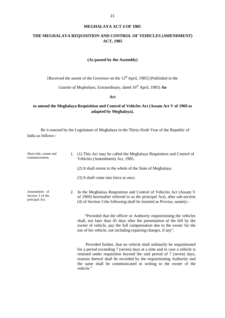#### **MEGHALAYA ACT 4 OF 1985**

# **THE MEGHALAYA REQUISITION AND CONTROL OF VEHICLES (AMENDMENT) ACT, 1985**

#### **(As passed by the Assembly)**

[Received the assent of the Governor on the 13<sup>th</sup> April, 1985] (Published in the

*Gazette of Meghalaya*, Extraordinary, dated 16<sup>th</sup> April, 1985) **An** 

**Act**

# **to amend the Meghalaya Requisition and Control of Vehicles Act (Assam Act V of 1969 as adapted by Meghalaya).**

| Short title, extent and<br>commencement.           | 1. | (1) This Act may be called the Meghalaya Requisition and Control of<br>Vehicles (Amendment) Act, 1985.                                                                                                                                                                                                                                                                         |
|----------------------------------------------------|----|--------------------------------------------------------------------------------------------------------------------------------------------------------------------------------------------------------------------------------------------------------------------------------------------------------------------------------------------------------------------------------|
|                                                    |    | (2) It shall extent to the whole of the State of Meghalaya.                                                                                                                                                                                                                                                                                                                    |
|                                                    |    | (3) It shall come into force at once.                                                                                                                                                                                                                                                                                                                                          |
| Amendment of<br>Section 3 of the<br>principal Act. | 2. | In the Meghalaya Requisition and Control of Vehicles Act (Assam V<br>of 1969) hereinafter referred to as the principal Act), after sub-section<br>(4) of Section 3 the following shall be inserted as Proviso, namely:-                                                                                                                                                        |
|                                                    |    | "Provided that the officer or Authority requisitioning the vehicles<br>shall, not later than 45 days after the presentation of the bill by the<br>owner of vehicle, pay the full compensation due to the owner for the<br>use of his vehicle, not including repairing charges, if any".                                                                                        |
|                                                    |    | Provided further, that no vehicle shall ordinarily be requisitioned<br>for a period exceeding 7 (seven) days at a time and in case a vehicle is<br>retained under requisition beyond the said period of 7 (seven) days,<br>reasons thereof shall be recorded by the requisitioning Authority and<br>the same shall be communicated in writing to the owner of the<br>vehicle." |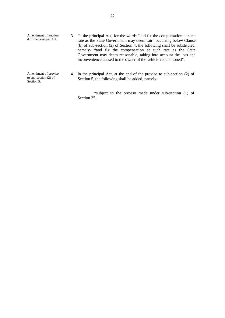Amendment of Section 4 of the principal Act. 3. In the principal Act, for the words "and fix the compensation at such rate as the State Government may deem fair" occurring below Clause (b) of sub-section (2) of Section 4, the following shall be substituted, namely- "and fix the compensation at such rate as the State Government may deem reasonable, taking into account the loss and inconvenience caused to the owner of the vehicle requisitioned". Amendment of proviso

to sub-section (2) of

Amendment of proviso 4. In the principal Act, at the end of the proviso to sub-section (2) of to sub-section (2) of Section 5, the following shall be added, namely-Section 5, the following shall be added, namely-

> "subject to the proviso made under sub-section (1) of Section 3".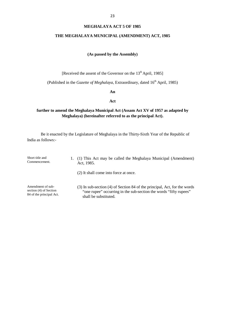#### **MEGHALAYA ACT 5 OF 1985**

# **THE MEGHALAYA MUNICIPAL (AMENDMENT) ACT, 1985**

#### **(As passed by the Assembly)**

[Received the assent of the Governor on the 13<sup>th</sup> April, 1985]

(Published in the *Gazette of Meghalaya*, Extraordinary, dated 16<sup>th</sup> April, 1985)

#### **An**

#### **Act**

# **further to amend the Meghalaya Municipal Act (Assam Act XV of 1957 as adapted by Meghalaya) (hereinafter referred to as the principal Act).**

Be it enacted by the Legislature of Meghalaya in the Thirty-Sixth Year of the Republic of India as follows:-

Short title and Commencement. 1. (1) This Act may be called the Meghalaya Municipal (Amendment) Act, 1985. (2) It shall come into force at once.

Amendment of sub section (4) of Section 84 of the principal Act. (3) In sub-section (4) of Section 84 of the principal, Act, for the words "one rupee" occurring in the sub-section the words "fifty rupees" shall be substituted.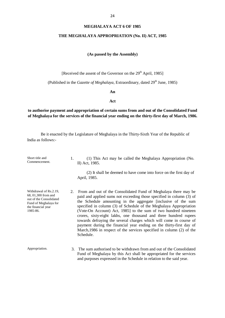#### **MEGHALAYA ACT 6 OF 1985**

#### **THE MEGHALAYA APPROPRIATION (No. II) ACT, 1985**

#### **(As passed by the Assembly)**

[Received the assent of the Governor on the 29<sup>th</sup> April, 1985]

(Published in the *Gazette of Meghalaya*, Extraordinary, dated 29<sup>th</sup> June, 1985)

#### **An**

#### **Act**

# **to authorise payment and appropriation of certain sums from and out of the Consolidated Fund of Meghalaya for the services of the financial year ending on the thirty-first day of March, 1986.**

| Short title and<br>Commencement.                                                                                                    | 1. | (1) This Act may be called the Meghalaya Appropriation (No.<br>II) Act, 1985.                                                                                                                                                                                                                                                                                                                                                                                                                                                                                                                                                                            |
|-------------------------------------------------------------------------------------------------------------------------------------|----|----------------------------------------------------------------------------------------------------------------------------------------------------------------------------------------------------------------------------------------------------------------------------------------------------------------------------------------------------------------------------------------------------------------------------------------------------------------------------------------------------------------------------------------------------------------------------------------------------------------------------------------------------------|
|                                                                                                                                     |    | (2) It shall be deemed to have come into force on the first day of<br>April, 1985.                                                                                                                                                                                                                                                                                                                                                                                                                                                                                                                                                                       |
| Withdrawal of Rs.2.19.<br>68, 01,300 from and<br>out of the Consolidated<br>Fund of Meghalaya for<br>the financial year<br>1985-86. | 2. | From and out of the Consolidated Fund of Meghalaya there may be<br>paid and applied sums not exceeding those specified in column (3) of<br>the Schedule amounting in the aggregate [inclusive of the sum<br>specified in column (3) of Schedule of the Meghalaya Appropriation<br>(Vote-On Account) Act, 1985] to the sum of two hundred nineteen<br>crores, sixty-eight lakhs, one thousand and three hundred rupees<br>towards defraying the several charges which will come in course of<br>payment during the financial year ending on the thirty-first day of<br>March, 1986 in respect of the services specified in column (2) of the<br>Schedule. |
| Appropriation.                                                                                                                      |    | 3. The sum authorised to be withdrawn from and out of the Consolidated<br>Fund of Meghalaya by this Act shall be appropriated for the services<br>and purposes expressed in the Schedule in relation to the said year.                                                                                                                                                                                                                                                                                                                                                                                                                                   |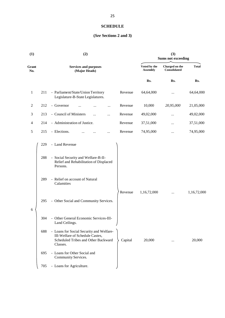# **SCHEDULE**

# **(***See* **Sections 2 and 3)**

| (1)            |     | (2)                                                                                                                            |         |                                 | (3)<br><b>Sums not exceeding</b> |              |  |
|----------------|-----|--------------------------------------------------------------------------------------------------------------------------------|---------|---------------------------------|----------------------------------|--------------|--|
| Grant<br>No.   |     | <b>Services and purposes</b><br>(Major Heads)                                                                                  |         | Voted by the<br><b>Assembly</b> | Charged on the<br>Consolidated   | <b>Total</b> |  |
|                |     |                                                                                                                                |         | Rs.                             | Rs.                              | Rs.          |  |
| $\mathbf{1}$   | 211 | - Parliament/State/Union Territory<br>Legislature-B-State Legislatures.                                                        | Revenue | 64,64,000                       |                                  | 64,64,000    |  |
| 2              | 212 | - Governor<br>$\cdots$                                                                                                         | Revenue | 10,000                          | 20,95,000                        | 21,05,000    |  |
| 3              | 213 | - Council of Ministers<br>$\cdots$<br>$\cdots$                                                                                 | Revenue | 49,02,000                       | $\cdots$                         | 49,02,000    |  |
| $\overline{4}$ | 214 | - Administration of Justice.                                                                                                   | Revenue | 37,51,000                       | $\cdots$                         | 37,51,000    |  |
| $\sqrt{5}$     | 215 | - Elections.<br>.                                                                                                              | Revenue | 74,95,000                       | $\cdots$                         | 74,95,000    |  |
|                | 229 | - Land Revenue                                                                                                                 |         |                                 |                                  |              |  |
|                | 288 | - Social Security and Welfare-B-II-<br>Relief and Rehabilitation of Displaced<br>Persons.                                      |         |                                 |                                  |              |  |
|                | 289 | - Relief on account of Natural<br>Calamities                                                                                   |         |                                 |                                  |              |  |
| 6              | 295 | - Other Social and Community Services.                                                                                         | Revenue | 1,16,72,000                     |                                  | 1,16,72,000  |  |
|                | 304 | - Other General Economic Services-III-<br>Land Ceilings.                                                                       |         |                                 |                                  |              |  |
|                | 688 | - Loans for Social Security and Welfare-<br>III-Welfare of Schedule Castes,<br>Scheduled Tribes and Other Backward<br>Classes. | Capital | 20,000                          |                                  | 20,000       |  |
|                | 695 | - Loans for Other Social and<br>Community Services.                                                                            |         |                                 |                                  |              |  |
|                | 705 | - Loans for Agriculture.                                                                                                       |         |                                 |                                  |              |  |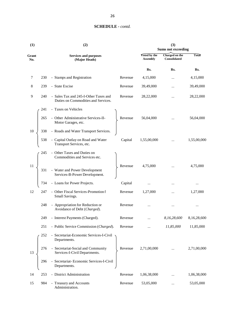| (1)          | (2) |                                                                              |         | (3)<br><b>Sums not exceeding</b>       |                                |              |
|--------------|-----|------------------------------------------------------------------------------|---------|----------------------------------------|--------------------------------|--------------|
| Grant<br>No. |     | <b>Services and purposes</b><br>(Major Heads)                                |         | <b>Voted by the</b><br><b>Assembly</b> | Charged on the<br>Consolidated | <b>Total</b> |
|              |     |                                                                              |         | Rs.                                    | Rs.                            | Rs.          |
| 7            | 230 | - Stamps and Registration                                                    | Revenue | 4,15,000                               |                                | 4,15,000     |
| 8            | 239 | - State Excise                                                               | Revenue | 39,49,000                              |                                | 39,49,000    |
| 9            | 240 | - Sales Tax and 245-I-Other Taxes and<br>Duties on Commodities and Services. | Revenue | 28,22,000                              | $\cdots$                       | 28,22,000    |
|              | 241 | - Taxes on Vehicles                                                          |         |                                        |                                |              |
|              | 265 | - Other Administrative Services-II-<br>Motor Garages, etc.                   | Revenue | 56,04,000                              |                                | 56,04,000    |
| 10           | 338 | - Roads and Water Transport Services.                                        |         |                                        |                                |              |
|              | 538 | - Capital Outlay on Road and Water<br>Transport Services, etc.               | Capital | 1,55,00,000                            | $\cdots$                       | 1,55,00,000  |
|              | 245 | - Other Taxes and Duties on<br>Commodities and Services etc.                 |         |                                        |                                |              |
| 11           | 331 | - Water and Power Development<br>Services-B-Power Development.               | Revenue | 4,75,000                               |                                | 4,75,000     |
|              | 734 | - Loans for Power Projects.                                                  | Capital | $\cdots$                               |                                |              |
| 12           | 247 | - Other Fiscal Services-Promotion f<br>Small Savings.                        | Revenue | 1,27,000                               | $\cdots$                       | 1,27,000     |
|              | 248 | - Appropriation for Reduction or<br>Avoidance of Debt (Charged).             | Revenue |                                        |                                |              |
|              | 249 | - Interest Payments (Charged).                                               | Revenue |                                        | 8,16,28,600                    | 8,16,28,600  |
|              | 251 | - Public Service Commission (Charged).                                       | Revenue |                                        | 11,85,000                      | 11,85,000    |
|              | 252 | - Secretariat-Economic Services-I-Civil<br>Departments.                      |         |                                        |                                |              |
| 13           | 276 | - Secretariat-Social and Community<br>Services-I-Civil Departments.          | Revenue | 2,71,00,000                            | $\cdot \cdot$                  | 2,71,00,000  |
|              | 296 | - Secretariat-Economic Services-I-Civil<br>Departments.                      |         |                                        |                                |              |
| 14           | 253 | - District Administration                                                    | Revenue | 1,06,38,000                            |                                | 1,06,38,000  |
| 15           | 984 | - Treasury and Accounts<br>Administration.                                   | Revenue | 53,05,000                              |                                | 53,05,000    |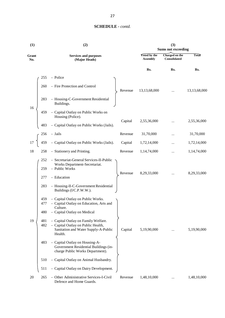| (1)          | (2)                                                                                                                |                                        | (3)<br><b>Sums not exceeding</b> |              |  |
|--------------|--------------------------------------------------------------------------------------------------------------------|----------------------------------------|----------------------------------|--------------|--|
| Grant<br>No. | <b>Services and purposes</b><br>(Major Heads)                                                                      | <b>Voted by the</b><br><b>Assembly</b> | Charged on the<br>Consolidated   | <b>Total</b> |  |
|              |                                                                                                                    | Rs.                                    | Rs.                              | Rs.          |  |
|              | - Police<br>255                                                                                                    |                                        |                                  |              |  |
|              | - Fire Protection and Control<br>260<br>Revenue                                                                    | 13,13,68,000                           |                                  | 13,13,68,000 |  |
|              | 283<br>- Housing-C-Government Residential<br>Buildings.                                                            |                                        |                                  |              |  |
| 16           | - Capital Outlay on Public Works on<br>459<br>Housing (Police).                                                    |                                        |                                  |              |  |
|              | Capital<br>- Capital Outlay on Public Works (Jails).<br>483                                                        | 2,55,36,000                            | $\cdots$                         | 2,55,36,000  |  |
|              | - Jails<br>Revenue<br>256                                                                                          | 31,70,000                              |                                  | 31,70,000    |  |
| 17           | - Capital Outlay on Public Works (Jails).<br>459<br>Capital                                                        | 1,72,14,000                            |                                  | 1,72,14,000  |  |
| 18           | 258<br>- Stationery and Printing.<br>Revenue                                                                       | 1,14,74,000                            | $\cdots$                         | 1,14,74,000  |  |
|              | - Secretariat-General Services-II-Public<br>252                                                                    |                                        |                                  |              |  |
|              | Works Department-Secretariat.<br>259<br>- Public Works                                                             |                                        |                                  |              |  |
|              | Revenue<br>- Education<br>277                                                                                      | 8,29,33,000                            | $\ldots$                         | 8,29,33,000  |  |
|              | - Housing-II-C-Government Residential<br>283<br>Buildings (I/C.P.W.W.).                                            |                                        |                                  |              |  |
|              | - Capital Outlay on Public Works.<br>459<br>- Capital Outlay on Education, Arts and<br>477                         |                                        |                                  |              |  |
|              | Culture.<br>480<br>- Capital Outlay on Medical                                                                     |                                        |                                  |              |  |
| 19           | - Capital Outlay on Family Welfare.<br>481                                                                         |                                        |                                  |              |  |
|              | - Capital Outlay on Public Health,<br>482<br>Sanitation and Water Supply-A-Public<br>Capital<br>Health.            | 5,19,90,000                            |                                  | 5,19,90,000  |  |
|              | 483<br>- Capital Outlay on Housing-A-<br>Government Residential Buildings (in-<br>charge Public Works Department). |                                        |                                  |              |  |
|              | - Capital Outlay on Animal Husbandry.<br>510                                                                       |                                        |                                  |              |  |
|              | - Capital Outlay on Dairy Development.<br>511                                                                      |                                        |                                  |              |  |
| 20           | - Other Administrative Services-I-Civil<br>265<br>Revenue<br>Defence and Home Guards.                              | 1,48,10,000                            | $\cdots$                         | 1,48,10,000  |  |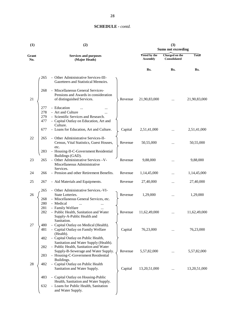| (1)          |            | (2)                                                                                                | (3)<br><b>Sums not exceeding</b>       |                                |              |
|--------------|------------|----------------------------------------------------------------------------------------------------|----------------------------------------|--------------------------------|--------------|
| Grant<br>No. |            | <b>Services and purposes</b><br>(Major Heads)                                                      | <b>Voted by the</b><br><b>Assembly</b> | Charged on the<br>Consolidated | <b>Total</b> |
|              |            |                                                                                                    | Rs.                                    | Rs.                            | Rs.          |
|              | 265        | - Other Administrative Services-III-<br>Gazetteers and Statistical Memoirs.                        |                                        |                                |              |
|              | 268        | - Miscellaneous General Services-<br>Pensions and Awards in consideration                          |                                        |                                |              |
| 21           |            | of distinguished Services.<br>Revenue                                                              | 21,90,83,000                           |                                | 21,90,83,000 |
|              | 277        | - Education<br>$\ddotsc$                                                                           |                                        |                                |              |
|              | 278        | - Art and Culture                                                                                  |                                        |                                |              |
|              | 279<br>477 | - Scientific Services and Research.<br>- Capital Outlay on Education, Art and<br>Culture.          |                                        |                                |              |
|              | 677        | - Loans for Education, Art and Culture.<br>Capital                                                 | 2,51,41,000                            |                                | 2,51,41,000  |
| 22           | 265        | - Other Administrative Services-II-<br>Census, Vital Statistics, Guest Houses,<br>Revenue<br>etc.  | 50,55,000                              |                                | 50,55,000    |
|              | 283        | - Housing-II-C-Government Residential<br>Buildings (GAD).                                          |                                        |                                |              |
| 23           | 265        | - Other Administrative Services -V-<br>Revenue<br>Miscellaneous Administrative                     | 9,88,000                               |                                | 9,88,000     |
| 24           | 266        | Services.<br>- Pension and other Retirement Benefits.<br>Revenue                                   | 1,14,45,000                            |                                | 1,14,45,000  |
| 25           | 267        | - Aid Materials and Equipments.<br>Revenue                                                         | 27,40,000                              |                                | 27,40,000    |
| 26           | 265        | - Other Administrative Services.-VI-<br>State Lotteries.<br>Revenue                                | 1,29,000                               |                                | 1,29,000     |
|              | 268        | - Miscellaneous General Services, etc.                                                             |                                        |                                |              |
|              | 280        | - Medical<br>$\cdots$                                                                              |                                        |                                |              |
|              | 281<br>282 | - Family Welfare<br>- Public Health, Sanitation and Water<br>Revenue<br>Supply-A-Public Health and | 11,62,49,000                           |                                | 11,62,49,000 |
| $27\,$       | 480        | Sanitation.<br>- Capital Outlay on Medical (Health).                                               |                                        |                                |              |
|              | 481        | - Capital Outlay on Family Welfare<br>Capital<br>(Health).                                         | 76,23,000                              |                                | 76,23,000    |
|              | 482        | - Capital Outlay on Public Health,                                                                 |                                        |                                |              |
|              | 282        | Sanitation and Water Supply (Health).<br>- Public Health, Sanitation and Water                     |                                        |                                |              |
|              | 283        | Supply-B-Sewerage and Water Supply.<br>Revenue<br>- Housing-C-Government Residential               | 5,57,82,000                            |                                | 5,57,82,000  |
| 28           | 482        | Buildings.<br>- Capital Outlay on Public Health                                                    |                                        |                                |              |
|              |            | Sanitation and Water Supply.<br>Capital                                                            | 13,20,51,000                           | $\cdots$                       | 13,20,51,000 |
|              | 483        | - Capital Outlay on Housing-Public<br>Health, Sanitation and Water Supply.                         |                                        |                                |              |
|              | 632        | - Loans for Public Health, Sanitation                                                              |                                        |                                |              |
|              |            | and Water Supply.                                                                                  |                                        |                                |              |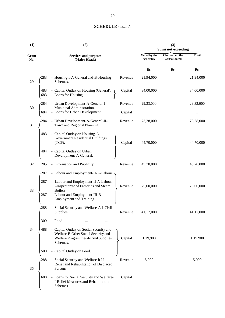| (1)              | (2)                                                                                                                               |                                 |                                | (3)<br><b>Sums not exceeding</b> |           |  |
|------------------|-----------------------------------------------------------------------------------------------------------------------------------|---------------------------------|--------------------------------|----------------------------------|-----------|--|
| Grant<br>No.     | <b>Services and purposes</b><br>(Major Heads)                                                                                     | Voted by the<br><b>Assembly</b> | Charged on the<br>Consolidated | <b>Total</b>                     |           |  |
|                  |                                                                                                                                   |                                 | Rs.                            | Rs.                              | Rs.       |  |
| 29               | - Housing-I-A-General and-B-Housing<br>Schemes.                                                                                   | Revenue                         | 21,94,000                      |                                  | 21,94,000 |  |
| 483<br>683       | - Capital Outlay on Housing (General). $\gamma$<br>- Loans for Housing.                                                           | Capital                         | 34,00,000                      |                                  | 34,00,000 |  |
| 284<br>30        | - Urban Development-A-General-I-<br>Municipal Administration.                                                                     | Revenue                         | 29,33,000                      |                                  | 29,33,000 |  |
| 684              | - Loans for Urban Development.                                                                                                    | Capital                         | $\cdots$                       |                                  | $\cdots$  |  |
| 31               | - Urban Development-A-General-II-<br>Town and Regional Planning.                                                                  | Revenue                         | 73,28,000                      |                                  | 73,28,000 |  |
| 483              | - Capital Outlay on Housing-A-<br>Government Residential Buildings<br>(TCP).                                                      | Capital                         | 44,70,000                      |                                  | 44,70,000 |  |
| 484              | - Capital Outlay on Urban<br>Development-A-General.                                                                               |                                 |                                |                                  |           |  |
| 32<br>285        | - Information and Publicity.                                                                                                      | Revenue                         | 45,70,000                      | $\cdots$                         | 45,70,000 |  |
| 287              | - Labour and Employment-II-A-Labour.                                                                                              |                                 |                                |                                  |           |  |
| 287<br>33<br>287 | - Labour and Employment-II-A-Labour<br>-Inspectorate of Factories and Steam<br>Boilers.<br>- Labour and Employment-III-B-         | Revenue                         | 75,00,000                      |                                  | 75,00,000 |  |
|                  | Employment and Training.                                                                                                          |                                 |                                |                                  |           |  |
| 288              | - Social Security and Welfare-A-I-Civil<br>Supplies.                                                                              | Revenue                         | 41,17,000                      | $\cdots$                         | 41,17,000 |  |
| 309              | - Food                                                                                                                            |                                 |                                |                                  |           |  |
| 34<br>488        | - Capital Outlay on Social Security and<br>Welfare-E-Other Social Security and<br>Welfare Programmes-I-Civil Supplies<br>Schemes. | Capital                         | 1,19,900                       |                                  | 1,19,900  |  |
| 500              | - Capital Outlay on Food.                                                                                                         |                                 |                                |                                  |           |  |
| $-288$<br>35     | - Social Security and Welfare-b-II-<br>Relief and Rehabilitation of Displaced<br>Persons                                          | Revenue                         | 5,000                          |                                  | 5,000     |  |
| 688              | - Loans for Social Security and Welfare-<br>I-Relief Measures and Rehabilitation<br>Schemes.                                      | Capital                         |                                |                                  | $\cdots$  |  |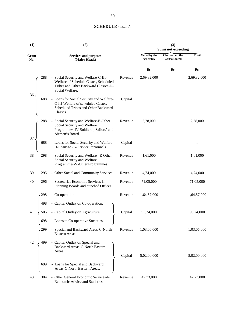| (1)          | (2) |                                                                                                                                          |         | (3)<br><b>Sums not exceeding</b> |                                |              |
|--------------|-----|------------------------------------------------------------------------------------------------------------------------------------------|---------|----------------------------------|--------------------------------|--------------|
| Grant<br>No. |     | <b>Services and purposes</b><br>(Major Heads)                                                                                            |         | Voted by the<br><b>Assembly</b>  | Charged on the<br>Consolidated | <b>Total</b> |
|              |     |                                                                                                                                          |         | Rs.                              | Rs.                            | Rs.          |
| 36           | 288 | - Social Security and Welfare-C-III-<br>Welfare of Schedule Castes, Scheduled<br>Tribes and Other Backward Classes-D-<br>Social Welfare. | Revenue | 2,69,82,000                      | $\cdots$                       | 2,69,82,000  |
|              | 688 | - Loans for Social Security and Welfare-<br>C-III-Welfare of scheduled Castes,<br>Scheduled Tribes and Other Backward<br>Classes.        | Capital |                                  |                                |              |
| 37           | 288 | - Social Security and Welfare-E-Other<br>Social Security and Welfare<br>Programmes-IV-Soldiers', Sailors' and<br>Airmen's Board.         | Revenue | 2,28,000                         |                                | 2,28,000     |
|              | 688 | - Loans for Social Security and Welfare-<br>II-Loans to Ex-Service Personnels.                                                           | Capital |                                  |                                |              |
| 38           | 298 | - Social Security and Welfare -E-Other<br>Social Security and Welfare<br>Programmes-V-Other Programmes.                                  | Revenue | 1,61,000                         | $\cdots$                       | 1,61,000     |
| 39           | 295 | - Other Social and Community Services.                                                                                                   | Revenue | 4,74,000                         |                                | 4,74,000     |
| 40           | 296 | - Secretariat-Economic Services-II-<br>Planning Boards and attached Offices.                                                             | Revenue | 71,05,000                        |                                | 71,05,000    |
|              | 298 | - Co-operation                                                                                                                           | Revenue | 1,64,57,000                      |                                | 1,64,57,000  |
|              | 498 | - Capital Outlay on Co-operation.                                                                                                        |         |                                  |                                |              |
| 41           | 505 | - Capital Outlay on Agriculture.                                                                                                         | Capital | 93,24,000                        |                                | 93,24,000    |
|              | 698 | - Loans to Co-operative Societies.                                                                                                       |         |                                  |                                |              |
|              | 299 | - Special and Backward Areas-C-North<br>Eastern Areas.                                                                                   | Revenue | 1,03,06,000                      |                                | 1,03,06,000  |
| 42           | 499 | - Capital Outlay on Special and<br>Backward Areas-C-North Eastern<br>Areas.                                                              | Capital | 5,02,00,000                      |                                | 5,02,00,000  |
|              | 699 | - Loans for Special and Backward<br>Areas-C-North Eastern Areas.                                                                         |         |                                  |                                |              |
| 43           | 304 | - Other General Economic Services-I-<br>Economic Advice and Statistics.                                                                  | Revenue | 42,73,000                        |                                | 42,73,000    |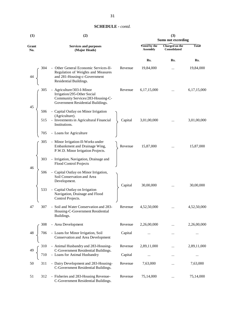| (1)          |     | (2)                                                                                                                                   | (3)<br><b>Sums not exceeding</b> |                                        |                                |             |
|--------------|-----|---------------------------------------------------------------------------------------------------------------------------------------|----------------------------------|----------------------------------------|--------------------------------|-------------|
| Grant<br>No. |     | <b>Services and purposes</b><br>(Major Heads)                                                                                         |                                  | <b>Voted by the</b><br><b>Assembly</b> | Charged on the<br>Consolidated | Total       |
|              |     |                                                                                                                                       |                                  | Rs.                                    | Rs.                            | Rs.         |
| 44           | 304 | - Other General Economic Services-II-<br>Regulation of Weights and Measures<br>and 281-Housing-c-Government<br>Residential Buildings. | Revenue                          | 19,84,000                              | $\ddotsc$                      | 19,84,000   |
| 45           | 305 | - Agriculture/303-I-Minor<br>Irrigation/295-Other Social<br>Community Services/283-Housing-C-<br>Government Residential Buildings.    | Revenue                          | 6,17,15,000                            |                                | 6,17,15,000 |
|              | 506 | - Capital Outlay on Minor Irrigation                                                                                                  |                                  |                                        |                                |             |
|              | 515 | (Agriculture).<br>- Investments in Agricultural Financial<br>Institutions.                                                            | Capital                          | 3,01,00,000                            | .                              | 3,01,00,000 |
|              | 705 | - Loans for Agriculture                                                                                                               |                                  |                                        |                                |             |
|              | 305 | - Minor Irrigation-II-Works under<br>Embankment and Drainage Wing,<br>P.W.D. Minor Irrigation Projects.                               | Revenue                          | 15,87,000                              |                                | 15,87,000   |
| 46           | 303 | - Irrigation, Navigation, Drainage and<br><b>Flood Control Projects</b>                                                               |                                  |                                        |                                |             |
|              | 506 | - Capital Outlay on Minor Irrigation,<br>Soil Conservation and Area<br>Development.                                                   |                                  |                                        |                                |             |
|              | 533 | - Capital Outlay on Irrigation<br>Navigation, Drainage and Flood<br>Control Projects.                                                 | Capital                          | 30,00,000                              |                                | 30,00,000   |
| 47           | 307 | - Soil and Water Conservation and 283-<br>Housing-C-Government Residential<br>Buildings.                                              | Revenue                          | 4,52,50,000                            |                                | 4,52,50,000 |
|              | 308 | - Area Development                                                                                                                    | Revenue                          | 2,26,00,000                            |                                | 2,26,00,000 |
| 48           | 706 | - Loans for Minor Irrigation, Soil<br>Conservation and Area Development                                                               | Capital                          |                                        | $\cdots$                       |             |
|              | 310 | - Animal Husbandry and 283-Housing-                                                                                                   | Revenue                          | 2,89,11,000                            |                                | 2,89,11,000 |
| 49           | 710 | C-Government Residential Buildings.<br>- Loans for Animal Husbandry                                                                   | Capital                          |                                        | $\cdots$                       |             |
| 50           | 311 | - Dairy Development and 283-Housing-<br>C-Government Residential Buildings.                                                           | Revenue                          | 7,63,000                               | $\cdots$                       | 7,63,000    |
| 51           | 312 | - Fisheries and 283-Housing Revenue-<br>C-Government Residential Buildings.                                                           | Revenue                          | 75,14,000                              |                                | 75,14,000   |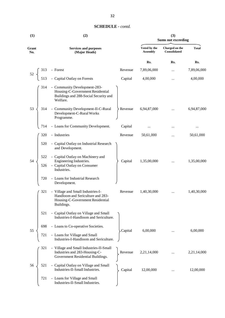| <b>SCHEDULE</b> - contd. |  |
|--------------------------|--|
|--------------------------|--|

| (1)          | (3)<br>(2)<br><b>Sums not exceeding</b> |                                                                                                                          |         |                                 |                                |              |
|--------------|-----------------------------------------|--------------------------------------------------------------------------------------------------------------------------|---------|---------------------------------|--------------------------------|--------------|
| Grant<br>No. |                                         | <b>Services and purposes</b><br>(Major Heads)                                                                            |         | Voted by the<br><b>Assembly</b> | Charged on the<br>Consolidated | <b>Total</b> |
|              |                                         |                                                                                                                          |         | Rs.                             | Rs.                            | Rs.          |
|              | 313                                     | - Forest                                                                                                                 | Revenue | 7,89,06,000                     |                                | 7,89,06,000  |
|              | 513                                     | - Capital Outlay on Forests                                                                                              | Capital | 4,00,000                        |                                | 4,00,000     |
|              | 314                                     | - Community Development-283-<br>Housing-C-Government Residential<br>Buildings and 288-Social Security and<br>Welfare.    |         |                                 |                                |              |
| 53           | 314                                     | - Community Development-II-C-Rural<br>Development-C-Rural Works<br>Programme.                                            | Revenue | 6,94,87,000                     |                                | 6,94,87,000  |
|              | 714                                     | - Loans for Community Development.                                                                                       | Capital |                                 |                                |              |
|              | 320                                     | - Industries                                                                                                             | Revenue | 50,61,000                       |                                | 50,61,000    |
|              | 520                                     | - Capital Outlay on Industrial Research<br>and Development.                                                              |         |                                 |                                |              |
| 54           | 522                                     | - Capital Outlay on Machinery and<br>Engineering Industries.                                                             | Capital | 1,35,00,000                     |                                | 1,35,00,000  |
|              | 526                                     | - Capital Outlay on Consumer<br>Industries.                                                                              |         |                                 |                                |              |
|              | 720                                     | - Loans for Industrial Research<br>Development.                                                                          |         |                                 |                                |              |
|              | 321                                     | - Village and Small Industries-I-<br>Handloom and Sericulture and 283-<br>Housing-C-Government Residential<br>Buildings. | Revenue | 1,40,30,000                     |                                | 1,40,30,000  |
|              | 521                                     | - Capital Outlay on Village and Small<br>Industries-I-Handloom and Sericulture.                                          |         |                                 |                                |              |
| 55           | 698                                     | - Loans to Co-operative Societies.                                                                                       | Capital | 6,00,000                        |                                | 6,00,000     |
|              | 721                                     | - Loans for Village and Small<br>Industries-I-Handloom and Sericulture.                                                  |         |                                 |                                |              |
|              | 321                                     | - Village and Small Industries-II-Small<br>Industries and 283-Housing-C-<br>Government Residential Buildings.            | Revenue | 2,21,14,000                     |                                | 2,21,14,000  |
| 56           | 521                                     | - Capital Outlay on Village and Small<br>Industries-II-Small Industries.                                                 | Capital | 12,00,000                       |                                | 12,00,000    |
|              | 721                                     | - Loans for Village and Small<br>Industries-II-Small Industries.                                                         |         |                                 |                                |              |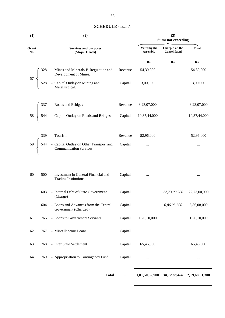| (1)          | (2) |                                                                                                                           |         | (3)<br><b>Sums not exceeding</b> |                                |                |  |
|--------------|-----|---------------------------------------------------------------------------------------------------------------------------|---------|----------------------------------|--------------------------------|----------------|--|
| Grant<br>No. |     | <b>Services and purposes</b><br>(Major Heads)                                                                             |         | Voted by the<br><b>Assembly</b>  | Charged on the<br>Consolidated | <b>Total</b>   |  |
|              |     |                                                                                                                           |         | Rs.                              | Rs.                            | Rs.            |  |
|              |     | - Mines and Minerals-B-Regulation and                                                                                     | Revenue | 54,30,000                        | $\cdots$                       | 54,30,000      |  |
|              |     | Development of Mines.<br>528 - Capital Outlay on Mining and<br>Metallurgical.                                             | Capital | 3,00,000                         | $\cdots$                       | 3,00,000       |  |
|              |     |                                                                                                                           | Revenue | 8,23,07,000                      | $\cdots$                       | 8,23,07,000    |  |
|              |     | $58\begin{cases}\n337 & - \text{ Roads and Bridges} \\ 544 & - \text{ Capital Outlay on Roads and Bridges.}\n\end{cases}$ | Capital | 10,37,44,000                     | $\cdots$                       | 10,37,44,000   |  |
|              | 339 | - Tourism                                                                                                                 | Revenue | 52,96,000                        | $\ddotsc$                      | 52,96,000      |  |
|              |     | 59<br>544 - Capital Outlay on Other Transport and<br>Communication Services.                                              | Capital | $\cdots$                         | $\cdots$                       | $\cdots$       |  |
| 60           | 500 | - Investment in General Financial and<br>Trading Institutions.                                                            | Capital | $\cdots$                         | $\ldots$                       | $\cdots$       |  |
|              | 603 | - Internal Debt of State Government<br>(Charge)                                                                           | Capital | $\cdots$                         | 22,73,00,200                   | 22,73,00,000   |  |
|              | 604 | - Loans and Advances from the Central<br>Government (Charged).                                                            | Capital |                                  | 6,86,08,600                    | 6,86,08,000    |  |
| 61           | 766 | - Loans to Government Servants.                                                                                           | Capital | 1,26,10,000                      |                                | 1,26,10,000    |  |
| 62           | 767 | - Miscellaneous Loans                                                                                                     | Capital | $\cdots$                         |                                |                |  |
| 63           | 768 | - Inter State Settlement                                                                                                  | Capital | 65,46,000                        |                                | 65,46,000      |  |
| 64           | 769 | - Appropriation to Contingency Fund                                                                                       | Capital | $\cdots$                         |                                | $\cdots$       |  |
|              |     | <b>Total</b>                                                                                                              |         | 1,81,50,32,900                   | 38,17,68,400                   | 2,19,68,01,300 |  |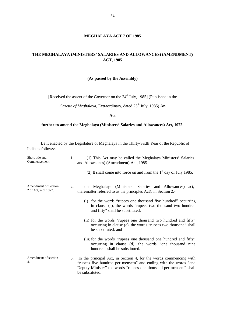# **MEGHALAYA ACT 7 OF 1985**

# **THE MEGHALAYA (MINISTERS' SALARIES AND ALLOWANCES) (AMENDMENT) ACT, 1985**

#### **(As passed by the Assembly)**

[Received the assent of the Governor on the 24<sup>th</sup> July, 1985] (Published in the

*Gazette of Meghalaya*, Extraordinary, dated 25<sup>th</sup> July, 1985) **An** 

**Act**

# **further to amend the Meghalaya (Ministers' Salaries and Allowances) Act, 1972.**

Be it enacted by the Legislature of Meghalaya in the Thirty-Sixth Year of the Republic of India as follows:-

| Short title and<br>Commencement.                    | (1) This Act may be called the Meghalaya Ministers' Salaries<br>1.<br>and Allowances) (Amendment) Act, 1985.                                                                                                     |
|-----------------------------------------------------|------------------------------------------------------------------------------------------------------------------------------------------------------------------------------------------------------------------|
|                                                     | (2) It shall come into force on and from the $1st$ day of July 1985.                                                                                                                                             |
| <b>Amendment of Section</b><br>2 of Act, 4 of 1972. | 2. In the Meghalaya (Ministers' Salaries and Allowances) act,<br>thereinafter referred to as the principles Act), in Section 2,-                                                                                 |
|                                                     | (i) for the words "rupees one thousand five hundred" occurring<br>in clause (a), the words "rupees two thousand two hundred<br>and fifty" shall be substituted;                                                  |
|                                                     | (ii) for the words "rupees one thousand two hundred and fifty"<br>occurring in clause (c), the words "rupees two thousand" shall<br>be substituted: and                                                          |
|                                                     | (iii) for the words "rupees one thousand one hundred and fifty"<br>occurring in clause (d), the words "one thousand nine<br>hundred" shall be substituted.                                                       |
| Amendment of section<br>4.                          | In the principal Act, in Section 4, for the words commencing with<br>3.<br>"rupees five hundred per mensem" and ending with the words "and"<br>Deputy Minister" the words "rupees one thousand per mensem" shall |

be substituted.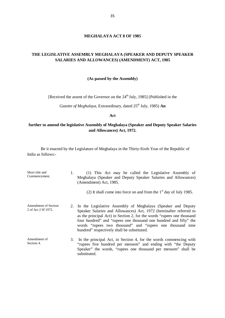#### **MEGHALAYA ACT 8 OF 1985**

# **THE LEGISLATIVE ASSEMBLY MEGHALAYA (SPEAKER AND DEPUTY SPEAKER SALARIES AND ALLOWANCES) (AMENDMENT) ACT, 1985**

#### **(As passed by the Assembly)**

[Received the assent of the Governor on the 24<sup>th</sup> July, 1985] (Published in the

*Gazette of Meghalaya*, Extraordinary, dated 25<sup>th</sup> July, 1985) **An** 

**Act**

# **further to amend the legislative Assembly of Meghalaya (Speaker and Deputy Speaker Salaries and Allowances) Act, 1972.**

| Short title and<br>Commencement.            | 1. | (1) This Act may be called the Legislative Assembly of<br>Meghalaya (Speaker and Deputy Speaker Salaries and Allowances)<br>(Amendment) Act, 1985.<br>(2) It shall come into force on and from the $1st$ day of July 1985.                                                                                                                                                                        |
|---------------------------------------------|----|---------------------------------------------------------------------------------------------------------------------------------------------------------------------------------------------------------------------------------------------------------------------------------------------------------------------------------------------------------------------------------------------------|
| Amendment of Section<br>2 of Act 2 0f 1972. |    | 2. In the Legislative Assembly of Meghalaya (Speaker and Deputy<br>Speaker Salaries and Allowances) Act, 1972 (hereinafter referred to<br>as the principal Act) in Section 2, for the words "rupees one thousand<br>four hundred" and "rupees one thousand one hundred and fifty" the<br>words "rupees two thousand" and "rupees one thousand nine<br>hundred" respectively shall be substituted. |
| Amendment of<br>Section 4.                  | 3. | In the principal Act, in Section 4, for the words commencing with<br>"rupees five hundred per mensem" and ending with "the Deputy<br>Speaker" the words, "rupees one thousand per mensem" shall be<br>substituted.                                                                                                                                                                                |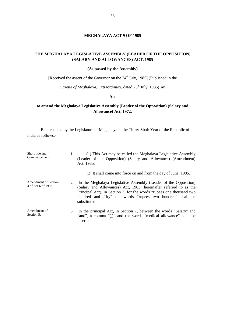# **MEGHALAYA ACT 9 OF 1985**

# **THE MEGHALAYA LEGISLATIVE ASSEMBLY (LEADER OF THE OPPOSITION) (SALARY AND ALLOWANCES) ACT, 1985**

#### **(As passed by the Assembly)**

[Received the assent of the Governor on the 24<sup>th</sup> July, 1985] (Published in the

*Gazette of Meghalaya*, Extraordinary, dated 25<sup>th</sup> July, 1985) **An** 

#### **Act**

# **to amend the Meghalaya Legislative Assembly (Leader of the Opposition) (Salary and Allowance) Act, 1972.**

| Short title and<br>Commencement.            | 1. | (1) This Act may be called the Meghalaya Legislative Assembly<br>(Leader of the Opposition) (Salary and Allowance) (Amendment)<br>Act, 1985.                                                                                                                                                |
|---------------------------------------------|----|---------------------------------------------------------------------------------------------------------------------------------------------------------------------------------------------------------------------------------------------------------------------------------------------|
|                                             |    | (2) It shall come into force on and from the day of June, 1985.                                                                                                                                                                                                                             |
| Amendment of Section<br>3 of Act 6 of 1983. | 2. | In the Meghalaya Legislative Assembly (Leader of the Opposition)<br>(Salary and Allowances) Act, 1983 (hereinafter referred to as the<br>Principal Act), in Section 3, for the words "rupees one thousand two<br>hundred and fifty" the words "rupees two hundred" shall be<br>substituted. |
| Amendment of<br>Section 5.                  | 3. | In the principal Act, in Section 7, between the words "Salary" and<br>"and", a comma "(,)" and the words "medical allowance" shall be<br>inserted.                                                                                                                                          |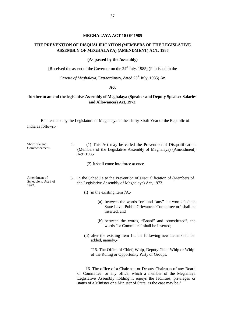# **MEGHALAYA ACT 10OF 1985**

# **THE PREVENTION OF DISQUALIFICATION (MEMBERS OF THE LEGISLATIVE ASSEMBLY OF MEGHALAYA) (AMENDMENT) ACT, 1985**

#### **(As passed by the Assembly)**

[Received the assent of the Governor on the  $24<sup>th</sup>$  July, 1985] (Published in the

*Gazette of Meghalaya*, Extraordinary, dated 25<sup>th</sup> July, 1985) **An** 

#### **Act**

# **further to amend the legislative Assembly of Meghalaya (Speaker and Deputy Speaker Salaries and Allowances) Act, 1972.**

| Short title and<br>Commencement.              | 4.<br>(1) This Act may be called the Prevention of Disqualification<br>(Members of the Legislative Assembly of Meghalaya) (Amendment)<br>Act, 1985.                                                                                                                       |
|-----------------------------------------------|---------------------------------------------------------------------------------------------------------------------------------------------------------------------------------------------------------------------------------------------------------------------------|
|                                               | (2) It shall come into force at once.                                                                                                                                                                                                                                     |
| Amendment of<br>Schedule to Act 3 of<br>1972. | In the Schedule to the Prevention of Disqualification of (Members of<br>5.<br>the Legislative Assembly of Meghalaya) Act, 1972.                                                                                                                                           |
|                                               | (i) in the existing item $7A$ .                                                                                                                                                                                                                                           |
|                                               | (a) between the words "or" and "any" the words "of the<br>State Level Public Grievances Committee or" shall be<br>inserted, and                                                                                                                                           |
|                                               | (b) between the words, "Board" and "constituted", the<br>words "or Committee" shall be inserted;                                                                                                                                                                          |
|                                               | (ii) after the existing item 14, the following new items shall be<br>added, namely,-                                                                                                                                                                                      |
|                                               | "15. The Office of Chief, Whip, Deputy Chief Whip or Whip<br>of the Ruling or Opportunity Party or Groups.                                                                                                                                                                |
|                                               | 16. The office of a Chairman or Deputy Chairman of any Board<br>or Committee, or any office, which a member of the Meghalaya<br>Legislative Assembly holding it enjoys the facilities, privileges or<br>status of a Minister or a Minister of State, as the case may be." |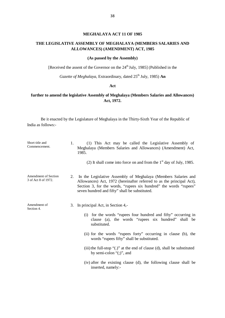#### **MEGHALAYA ACT 11 OF 1985**

# **THE LEGISLATIVE ASSEMBLY OF MEGHALAYA (MEMBERS SALARIES AND ALLOWANCES) (AMENDMENT) ACT, 1985**

# **(As passed by the Assembly)**

[Received the assent of the Governor on the 24<sup>th</sup> July, 1985] (Published in the

*Gazette of Meghalaya*, Extraordinary, dated 25<sup>th</sup> July, 1985) **An** 

# **Act**

# **further to amend the legislative Assembly of Meghalaya (Members Salaries and Allowances) Act, 1972.**

| Short title and<br>Commencement.                   |    | (1) This Act may be called the Legislative Assembly of<br>Meghalaya (Members Salaries and Allowances) (Amendment) Act,<br>1985.                                                                                                                                |
|----------------------------------------------------|----|----------------------------------------------------------------------------------------------------------------------------------------------------------------------------------------------------------------------------------------------------------------|
|                                                    |    | (2) It shall come into force on and from the $1st$ day of July, 1985.                                                                                                                                                                                          |
| <b>Amendment of Section</b><br>3 of Act 8 of 1972. | 2. | In the Legislative Assembly of Meghalaya (Members Salaries and<br>Allowances) Act, 1972 (hereinafter referred to as the principal Act),<br>Section 3, for the words, "rupees six hundred" the words "rupees"<br>seven hundred and fifty" shall be substituted. |
| Amendment of<br>Section 4.                         | 3. | In principal Act, in Section 4,-                                                                                                                                                                                                                               |
|                                                    |    | (i) for the words "rupees four hundred and fifty" occurring in<br>clause (a), the words "rupees six hundred" shall be<br>substituted.                                                                                                                          |
|                                                    |    | (ii) for the words "rupees forty" occurring in clause (b), the<br>words "rupees fifty" shall be substituted.                                                                                                                                                   |
|                                                    |    | (iii) the full-stop " $(.)$ " at the end of clause $(d)$ , shall be substituted<br>by semi-colon " $($ ; ", and                                                                                                                                                |
|                                                    |    | (iv) after the existing clause (d), the following clause shall be<br>inserted, namely:-                                                                                                                                                                        |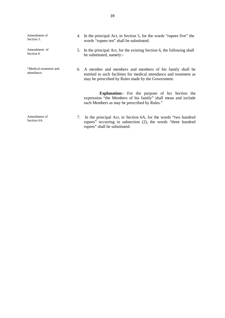| Amendment of<br>Section 5.            |    | 4. In the principal Act, in Section 5, for the words "rupees five" the<br>words "rupees ten" shall be substituted.                                                                      |  |
|---------------------------------------|----|-----------------------------------------------------------------------------------------------------------------------------------------------------------------------------------------|--|
| Amendment of<br>Section 6             |    | 5. In the principal Act, for the existing Section 6, the following shall<br>be substituted, namely:-                                                                                    |  |
| "Medical treatment and<br>attendance. |    | 6. A member and members and members of his family shall be<br>entitled to such facilities for medical attendance and treatment as<br>may be prescribed by Rules made by the Government. |  |
|                                       |    | <b>Explanation:</b> For the purpose of his Section the<br>expression "the Members of his family" shall mean and include<br>such Members as may be prescribed by Rules."                 |  |
| Amendment of<br>Section 6A.           | 7. | In the principal Act, in Section 6A, for the words "two hundred"<br>rupees" occurring in subsection (2), the words "three hundred<br>rupees" shall be substituted.                      |  |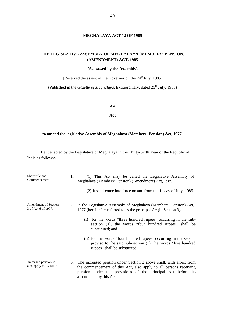# **MEGHALAYA ACT 12 OF 1985**

# **THE LEGISLATIVE ASSEMBLY OF MEGHALAYA (MEMBERS' PENSION) (AMENDMENT) ACT, 1985**

# **(As passed by the Assembly)**

[Received the assent of the Governor on the 24<sup>th</sup> July, 1985]

(Published in the *Gazette of Meghalaya*, Extraordinary, dated 25<sup>th</sup> July, 1985)

**An**

**Act**

#### **to amend the legislative Assembly of Meghalaya (Members' Pension) Act, 1977.**

| Short title and<br>Commencement.                      | 1. | (1) This Act may be called the Legislative Assembly of<br>Meghalaya (Members' Pension) (Amendment) Act, 1985.<br>(2) It shall come into force on and from the $1st$ day of July, 1985.                                                                                                      |
|-------------------------------------------------------|----|---------------------------------------------------------------------------------------------------------------------------------------------------------------------------------------------------------------------------------------------------------------------------------------------|
| <b>Amendment of Section</b><br>3 of Act 6 of 1977.    |    | 2. In the Legislative Assembly of Meghalaya (Members' Pension) Act,<br>1977 (hereinafter referred to as the principal Act) in Section 3,-<br>for the words "three hundred rupees" occurring in the sub-<br>(1)<br>section (1), the words "four hundred rupees" shall be<br>substituted; and |
|                                                       |    | (ii) for the words "four hundred rupees" occurring in the second<br>proviso tot he said sub-section (1), the words "five hundred"<br>rupees" shall be substituted.                                                                                                                          |
| Increased pension to<br>also apply to <i>Ex</i> -MLA. |    | 3. The increased pension under Section 2 above shall, with effect from<br>the commencement of this Act, also apply to all persons receiving<br>pension under the provisions of the principal Act before its<br>amendment by this Act.                                                       |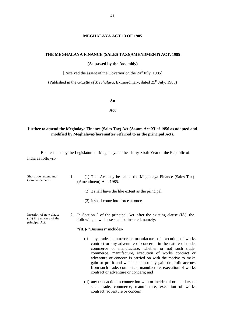#### **MEGHALAYA ACT 13 OF 1985**

#### **THE MEGHALAYA FINANCE (SALES TAX)(AMENDMENT) ACT, 1985**

**(As passed by the Assembly)**

[Received the assent of the Governor on the 24<sup>th</sup> July, 1985]

(Published in the *Gazette of Meghalaya*, Extraordinary, dated 25<sup>th</sup> July, 1985)

**An**

**Act**

# **further to amend the Meghalaya Finance (Sales Tax) Act (Assam Act XI of 1956 as adapted and modified by Meghalaya)(hereinafter referred to as the principal Act).**

| Short title, extent and<br>Commencement.                              | 1. | (1) This Act may be called the Meghalaya Finance (Sales Tax)<br>(Amendment) Act, 1985.                                                                                                                                                                                                                                                                                                                                                                                               |  |
|-----------------------------------------------------------------------|----|--------------------------------------------------------------------------------------------------------------------------------------------------------------------------------------------------------------------------------------------------------------------------------------------------------------------------------------------------------------------------------------------------------------------------------------------------------------------------------------|--|
|                                                                       |    | (2) It shall have the like extent as the principal.                                                                                                                                                                                                                                                                                                                                                                                                                                  |  |
|                                                                       |    | (3) It shall come into force at once.                                                                                                                                                                                                                                                                                                                                                                                                                                                |  |
| Insertion of new clause<br>(IB) in Section 2 of the<br>principal Act. | 2. | In Section 2 of the principal Act, after the existing clause (IA), the<br>following new clause shall be inserted, namely:-                                                                                                                                                                                                                                                                                                                                                           |  |
|                                                                       |    | "(IB)- "Business" includes-                                                                                                                                                                                                                                                                                                                                                                                                                                                          |  |
|                                                                       |    | any trade, commerce or manufacture of execution of works<br>(i)<br>contract or any adventure of concern in the nature of trade,<br>commerce or manufacture, whether or not such trade,<br>commerce, manufacture, execution of works contract or<br>adventure or concern is carried on with the motive to make<br>gain or profit and whether or not any gain or profit accrues<br>from such trade, commerce, manufacture, execution of works<br>contract or adventure or concern; and |  |
|                                                                       |    | (ii) any transaction in connection with or incidental or ancillary to<br>such trade, commerce, manufacture, execution of works<br>contract, adventure or concern.                                                                                                                                                                                                                                                                                                                    |  |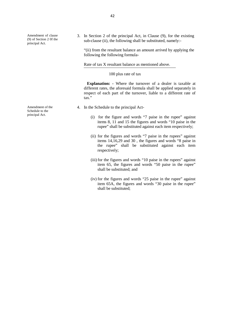Amendment of clause (9) of Section 2 0f the

Amendment of the Schedule to the principal Act.

Amendment of clause 3. In Section 2 of the principal Act, in Clause (9), for the existing (9) of Section 2 of the sub-clause (ii), the following shall be substituted, namely:-<br>principal Act. sub-clause (ii), the following shall be substituted, namely:-

> "(ii) from the resultant balance an amount arrived by applying the following the following formula-

Rate of tax X resultant balance as mentioned above.

#### 100 plus rate of tax

**Explanation: -** Where the turnover of a dealer is taxable at different rates, the aforesaid formula shall be applied separately in respect of each part of the turnover, liable to a different rate of tax."

- 4. In the Schedule to the principal Act-
	- (i) for the figure and words "7 paise in the rupee" against items 8, 11 and 15 the figures and words "10 paise in the rupee" shall be substituted against each item respectively;
	- (ii) for the figures and words "7 paise in the rupees" against items 14,16,29 and 30 , the figures and words "8 paise in the rupee" shall be substituted against each item respectively;
	- (iii) for the figures and words "10 paise in the rupees" against item 65, the figures and words "50 paise in the rupee" shall be substituted; and
	- (iv) for the figures and words "25 paise in the rupee" against item 65A, the figures and words "30 paise in the rupee" shall be substituted;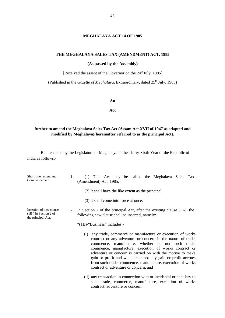#### **MEGHALAYA ACT 14 OF 1985**

#### **THE MEGHALAYA SALES TAX (AMENDMENT) ACT, 1985**

**(As passed by the Assembly)**

[Received the assent of the Governor on the 24<sup>th</sup> July, 1985]

(Published in the *Gazette of Meghalaya*, Extraordinary, dated 25<sup>th</sup> July, 1985)

**An**

**Act**

# **further to amend the Meghalaya Sales Tax Act (Assam Act XVII of 1947 as adapted and modified by Meghalaya)(hereinafter referred to as the principal Act).**

| Short title, extent and<br>Commencement.                                | (1) This Act may be called the Meghalaya Sales Tax<br>1.<br>(Amendment) Act, 1985.                                                                                                                                                                                                                                                                                                                                                                                                 |
|-------------------------------------------------------------------------|------------------------------------------------------------------------------------------------------------------------------------------------------------------------------------------------------------------------------------------------------------------------------------------------------------------------------------------------------------------------------------------------------------------------------------------------------------------------------------|
|                                                                         | (2) It shall have the like extent as the principal.                                                                                                                                                                                                                                                                                                                                                                                                                                |
|                                                                         | (3) It shall come into force at once.                                                                                                                                                                                                                                                                                                                                                                                                                                              |
| Insertion of new clause<br>$(1B)$ in Section 2 of<br>the principal Act. | In Section 2 of the principal Act, after the existing clause (1A), the<br>2.<br>following new clause shall be inserted, namely:-                                                                                                                                                                                                                                                                                                                                                   |
|                                                                         | "(1B)-"Business" includes:-                                                                                                                                                                                                                                                                                                                                                                                                                                                        |
|                                                                         | any trade, commerce or manufacture or execution of works<br>(1)<br>contract or any adventure or concern in the nature of trade,<br>commence, manufacture, whether or not such trade,<br>commence, manufacture, execution of works contract or<br>adventure or concern is carried on with the motive to make<br>gain or profit and whether or not any gain or profit accrues<br>from such trade, commence, manufacture, execution of works<br>contract or adventure or concern; and |
|                                                                         | (ii) any transaction in connection with or incidental or ancillary to<br>such trade, commerce, manufacture, execution of works<br>contract, adventure or concern.                                                                                                                                                                                                                                                                                                                  |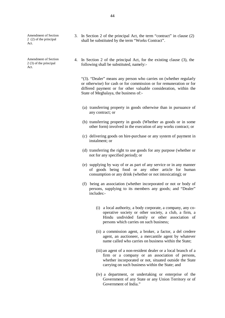Amendment of Section 2 (2) of the principal Act.

Amendment of Section 2 (3) of the principal Act.

- 3. In Section 2 of the principal Act, the term "contract" in clause  $(2)$ shall be substituted by the term "Works Contract".
- 4. In Section 2 of the principal Act, for the existing clause  $(3)$ , the following shall be substituted, namely:-

"(3). "Dealer" means any person who carries on (whether regularly or otherwise) for cash or for commission or for remuneration or for differed payment or for other valuable consideration, within the State of Meghalaya, the business of:-

- (a) transferring property in goods otherwise than in pursuance of any contract; or
- (b) transferring property in goods (Whether as goods or in some other form) involved in the execution of any works contract; or
- (c) delivering goods on hire-purchase or any system of payment in instalment; or
- (d) transferring the right to use goods for any purpose (whether or not for any specified period); or
- (e) supplying by way of or as part of any service or in any manner of goods being food or any other article for human consumption or any drink (whether or not intoxicating); or
- (f) being an association (whether incorporated ornot or body of persons, supplying to its members any goods; and "Dealer" includes:-
	- (i) a local authority, a body corporate, a company, any co operative society or other society, a club, a firm, a Hindu undivided family or other association of persons which carries on such business;
	- (ii) a commission agent, a broker, a factor, a del credere agent, an auctioneer, a mercantile agent by whatever name called who carries on business within the State;
	- (iii) an agent of a non-resident dealer or a local branch of a firm or a company or an association of persons, whether incorporated or not, situated outside the State carrying on such business within the State; and
	- (iv) a department, or undertaking or enterprise of the Government of any State or any Union Territory or of Government of India."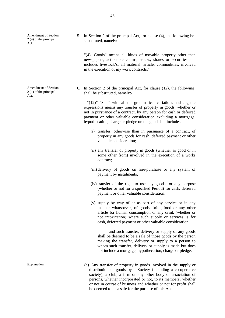Amendment of Section 2 (4) of the principal Act.

Amendment of Section 2 (1) of the principal Act.

5. In Section 2 of the principal Act, for clause (4), the following be substituted, namely:-

"(4), Goods" means all kinds of movable property other than newspapers, actionable claims, stocks, shares or securities and includes livestock's, all material, article, commodities, involved in the execution of my work contracts."

6. In Section 2 of the principal Act, for clause  $(12)$ , the following shall be substituted, namely:-

"(12)" "Sale" with all the grammatical variations and cognate expressions means any transfer of property in goods, whether or not in pursuance of a contract, by any person for cash or deferred payment or other valuable consideration excluding a mortgage, hypothecation, charge or pledge on the goods but includes.-

- (i) transfer, otherwise than in pursuance of a contract, of property in any goods for cash, deferred payment or other valuable consideration;
- (ii) any transfer of property in goods (whether as good or in some other from) involved in the execution of a works contract;
- (iii) delivery of goods on hire-purchase or any system of payment by instalments;
- (iv) transfer of the right to use any goods for any purpose (whether or not for a specified Period) for cash, deferred payment or other valuable consideration;
- (v) supply by way of or as part of any service or in any manner whatsoever, of goods, bring food or any other article for human consumption or any drink (whether or not intoxication) where such supply or services is for cash, deferred payment or other valuable consideration;

and such transfer, delivery or supply of any goods shall be deemed to be a sale of those goods by the person making the transfer, delivery or supply to a person to whom such transfer, delivery or supply is made but does not include a mortgage, hypothecation, charge or pledge.

Explanation. (a) Any transfer of property in goods involved in the supply or distribution of goods by a Society (including a co-operative society), a club, a firm or any other body or association of persons, whether incorporated or not, to its members, whether or not in course of business and whether or not for profit shall be deemed to be a safe for the purpose of this Act.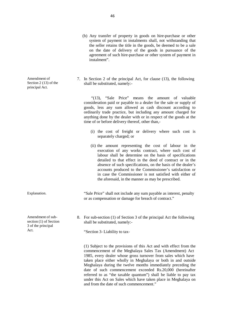- (b) Any transfer of property in goods on hire-purchase or other system of payment in instalments shall, not withstanding that the seller retains the title in the goods, be deemed to be a sale on the date of delivery of the goods in pursuance of the agreement of such hire-purchase or other system of payment in instalment".
- 7. In Section 2 of the principal Act, for clause  $(13)$ , the following shall be substituted, namely:-

"(13), "Sale Price" means the amount of valuable consideration paid or payable to a dealer for the sale or supply of goods, less any sum allowed as cash discount according to ordinarily trade practice, but including any amount charged for anything done by the dealer with or in respect of the goods at the time of or before delivery thereof, other than,-

- (i) the cost of freight or delivery where such cost is separately charged; or
- (ii) the amount representing the cost of labour in the execution of any works contract, where such cost of labour shall be determine on the basis of specifications detailed to that effect in the deed of contract or in the absence of such specifications, on the basis of the dealer's accounts produced to the Commissioner's satisfaction or in case the Commissioner is not satisfied with either of the aforesaid, in the manner as may be prescribed.

Explanation. "Sale Price" shall not include any sum payable as interest, penalty or as compensation or damage for breach of contract."

> 8. For sub-section (1) of Section 3 of the principal Act the following shall be substituted, namely:-

"Section 3- Liability to tax-

(1) Subject to the provisions of this Act and with effect from the commencement of the Meghalaya Sales Tax (Amendment) Act 1985, every dealer whose gross turnover from sales which have taken place either wholly in Meghalaya or both in and outside Meghalaya during the twelve months immediately preceding the date of such commencement exceeded Rs.20,000 (hereinafter referred to as "the taxable quantum") shall be liable to pay tax under this Act on Sales which have taken place in Meghalaya on and from the date of such commencement."

Amendment of Section 2 (13) of the principal Act.

Amendment of sub section (1) of Section 3 of the principal Act.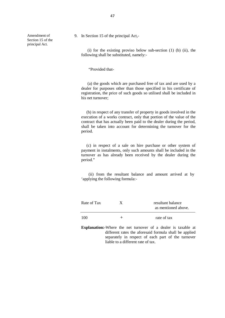Amendment of Section 15 of the principal Act.

9. In Section 15 of the principal Act,-

(i) for the existing proviso below sub-section (1) (b) (ii), the following shall be substituted, namely:-

"Provided that-

(a) the goods which are purchased free of tax and are used by a dealer for purposes other than those specified in his certificate of registration, the price of such goods so utilised shall be included in his net turnover;

(b) in respect of any transfer of property in goods involved in the execution of a works contract, only that portion of the value of the contract that has actually been paid to the dealer during the period, shall be taken into account for determining the turnover for the period.

(c) in respect of a sale on hire purchase or other system of payment in instalments, only such amounts shall be included in the turnover as has already been received by the dealer during the period."

(ii) from the resultant balance and amount arrived at by 'applying the following formula:-

| Rate of Tax | resultant balance<br>as mentioned above. |
|-------------|------------------------------------------|
| 100         | rate of tax                              |

**Explanation:-**Where the net turnover of a dealer is taxable at different rates the aforesaid formula shall be applied separately in respect of each part of the turnover liable to a different rate of tax.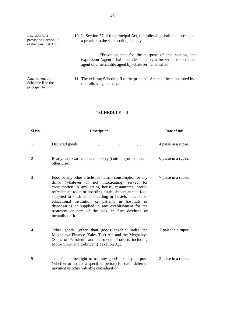| Insertion of a<br>proviso to Section 27<br>of the principal Act. | 10. In Section 27 of the principal Act, the following shall be inserted as<br>a proviso to the said section, namely:-                                                               |  |  |
|------------------------------------------------------------------|-------------------------------------------------------------------------------------------------------------------------------------------------------------------------------------|--|--|
|                                                                  | "Provision that for the purpose of this section, the<br>expression 'agent' shall include a factor, a broker, a del credere<br>agent or a mercantile agent by whatever name called." |  |  |
| Amendment of<br>Schedule II to the<br>principal Act.             | 11. The existing Schedule II to the principal Act shall be substituted by<br>the following, namely:-                                                                                |  |  |

# **"SCHEDULE – II**

| Sl <sub>No.</sub> | <b>Description</b>                                                                                                                                                                                                                                                                                                                                                                                                                                                                | Rate of tax         |
|-------------------|-----------------------------------------------------------------------------------------------------------------------------------------------------------------------------------------------------------------------------------------------------------------------------------------------------------------------------------------------------------------------------------------------------------------------------------------------------------------------------------|---------------------|
| 1.                | Declared goods<br>.                                                                                                                                                                                                                                                                                                                                                                                                                                                               | 4 paise in a rupee. |
| $\overline{2}$    | Readymade Garments and hosiery (cotton, synthetic and<br>otherwise).                                                                                                                                                                                                                                                                                                                                                                                                              | 6 paise in a rupee. |
| 3                 | Food or any other article for human consumption or any<br>drink (whatever or not intoxicating) served for<br>consumption in any eating house, restaurants, hotels,<br>refreshment room or boarding establishment except food<br>supplied to students in boarding or hostels attached to<br>educational institution or patients in hospitals or<br>dispensaries or supplied in any establishment for the<br>treatment or care of the sick, in firm destitute or<br>mentally unfit. | 7 paise in a rupee. |
| 4                 | Other goods (other than goods taxable under the<br>Meghalaya Finance (Sales Tax) Act and the Meghalaya<br>(Sales of Petroleum and Petroleum Products including<br>Motor Spirit and Lubricant) Taxation Act.                                                                                                                                                                                                                                                                       | 7 paise in a rupee  |
| 5                 | Transfer of the right to use any goods for any purpose<br>(whether or not for a specified period) for cash, deferred<br>payment or other valuable consideration.                                                                                                                                                                                                                                                                                                                  | 2 paise in a rupee. |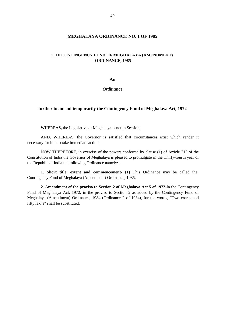# **MEGHALAYA ORDINANCE NO. 1 OF 1985**

# **THE CONTINGENCY FUND OF MEGHALAYA (AMENDMENT) ORDINANCE, 1985**

**An**

#### *Ordinance*

#### **further to amend temporarily the Contingency Fund of Meghalaya Act, 1972**

WHEREAS**,** the Legislative of Meghalaya is not in Session;

AND, WHEREAS, the Governor is satisfied that circumstances exist which render it necessary for him to take immediate action;

NOW THEREFORE, in exercise of the powers conferred by clause (1) of Article 213 of the Constitution of India the Governor of Meghalaya is pleased to promulgate in the Thirty-fourth year of the Republic of India the following Ordinance namely:-

**1. Short title, extent and commencement-** (1) This Ordinance may be called the Contingency Fund of Meghalaya (Amendment) Ordinance, 1985.

**2. Amendment of the proviso to Section 2 of Meghalaya Act 5 of 1972**-In the Contingency Fund of Meghalaya Act, 1972, in the proviso to Section 2 as added by the Contingency Fund of Meghalaya (Amendment) Ordinance, 1984 (Ordinance 2 of 1984), for the words, "Two crores and fifty lakhs" shall be substituted.